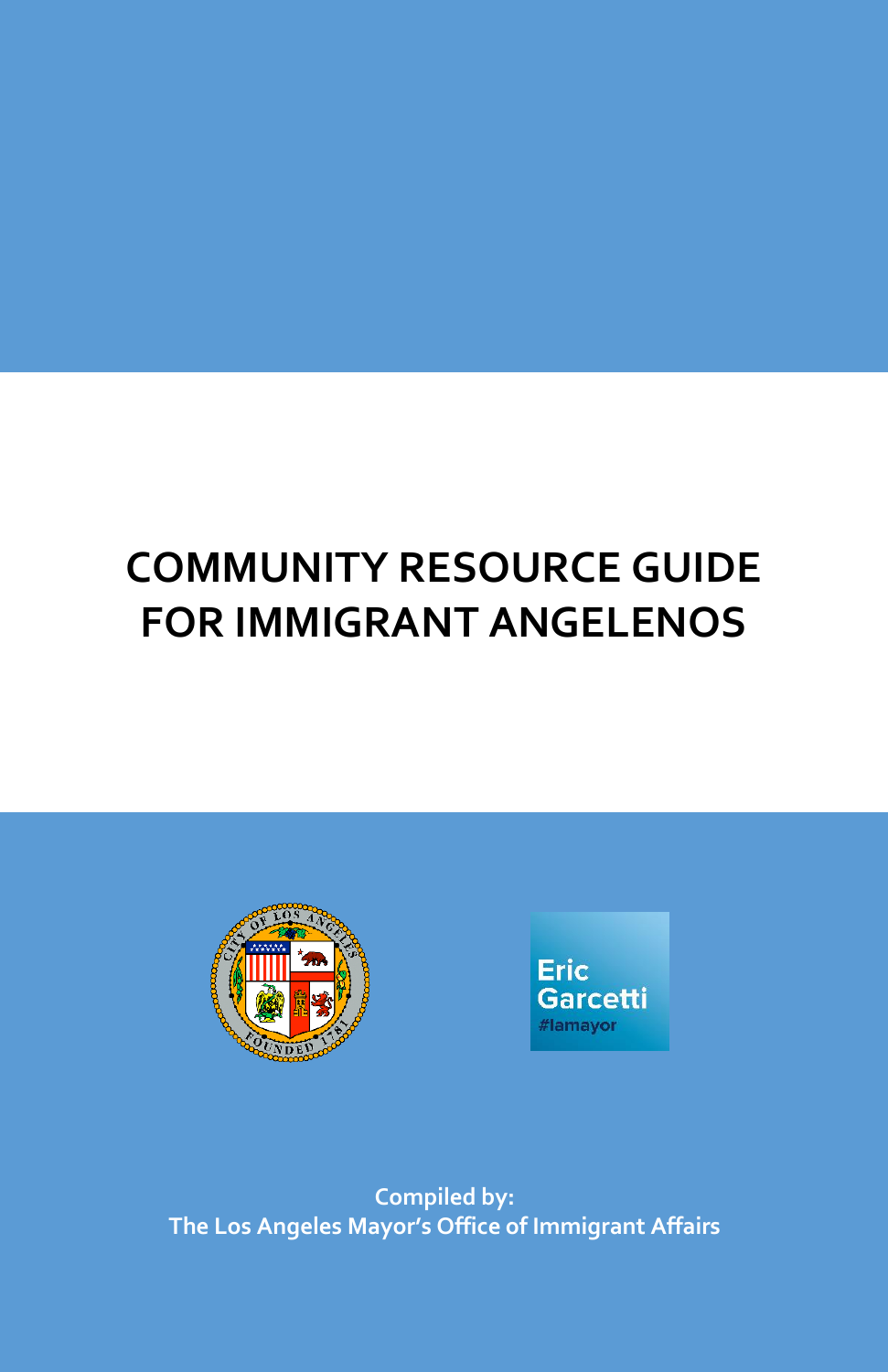# **COMMUNITY RESOURCE GUIDE FOR IMMIGRANT ANGELENOS**





**Compiled by: The Los Angeles Mayor's Office of Immigrant Affairs**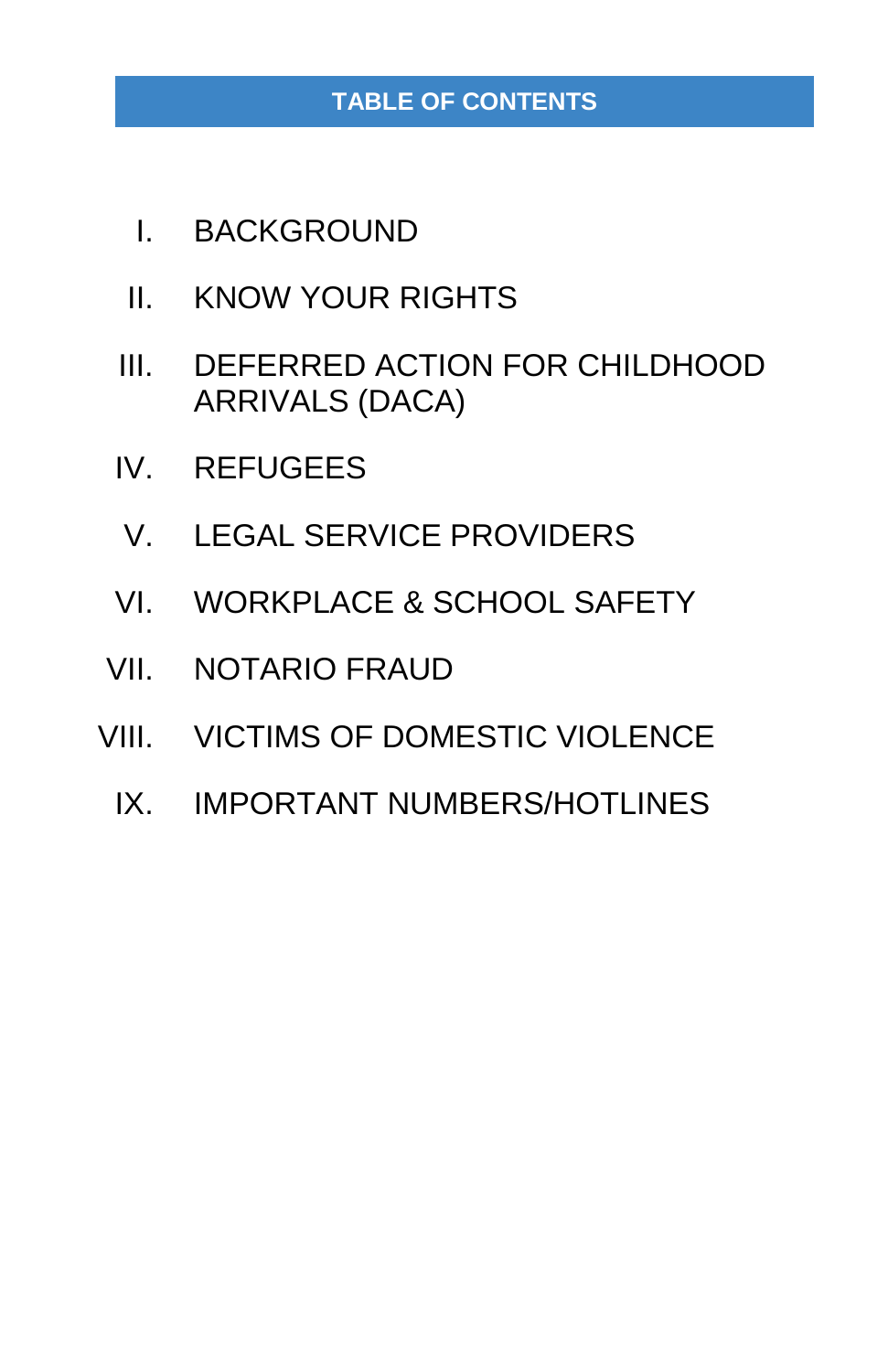## **TABLE OF CONTENTS**

- I. BACKGROUND
- II. KNOW YOUR RIGHTS
- III. DEFERRED ACTION FOR CHILDHOOD ARRIVALS (DACA)
- IV. REFUGEES
- V. LEGAL SERVICE PROVIDERS
- VI. WORKPLACE & SCHOOL SAFETY
- VII. NOTARIO FRAUD
- VIII. VICTIMS OF DOMESTIC VIOLENCE
	- IX. IMPORTANT NUMBERS/HOTLINES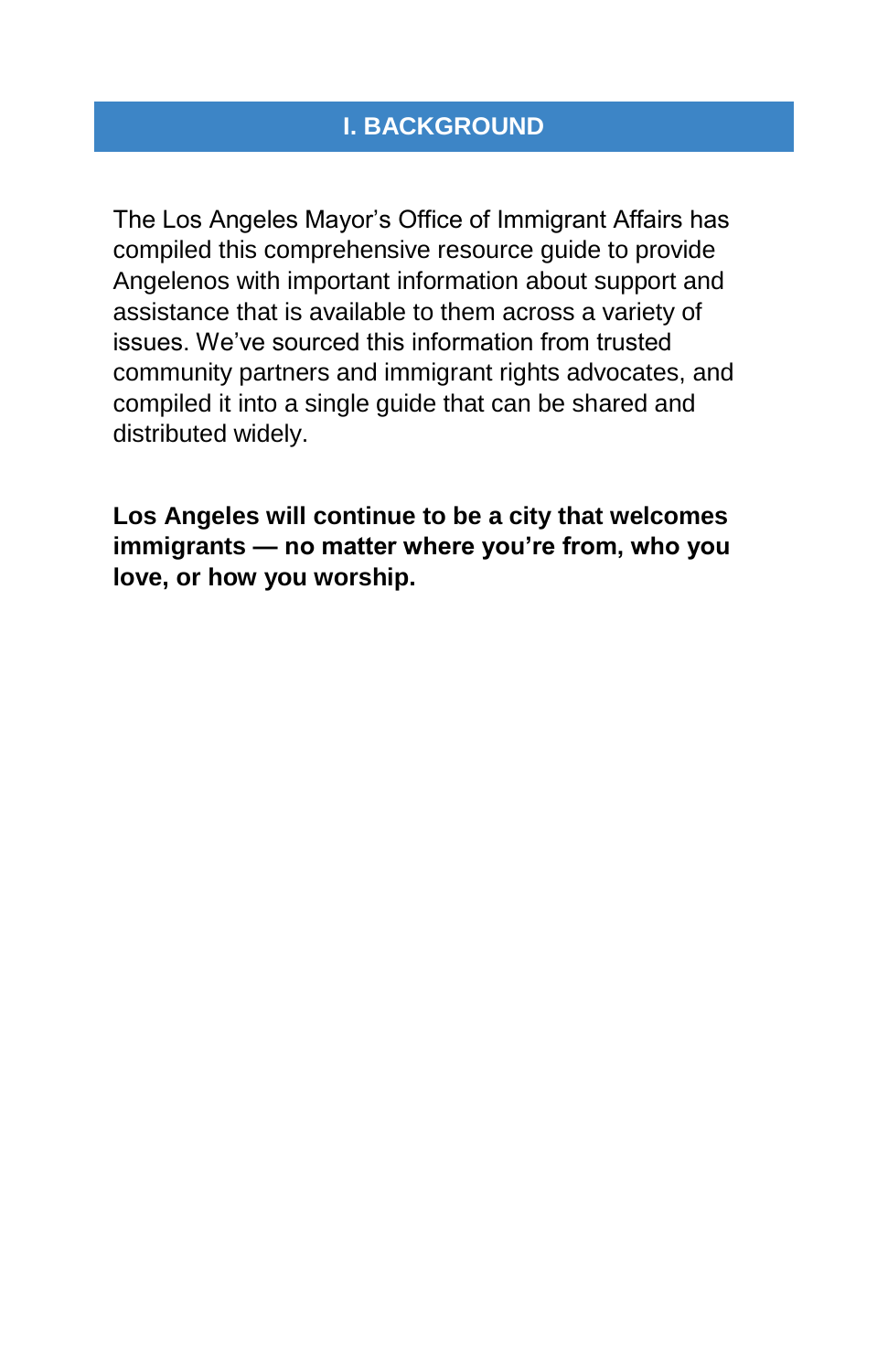The Los Angeles Mayor's Office of Immigrant Affairs has compiled this comprehensive resource guide to provide Angelenos with important information about support and assistance that is available to them across a variety of issues. We've sourced this information from trusted community partners and immigrant rights advocates, and compiled it into a single guide that can be shared and distributed widely.

**Los Angeles will continue to be a city that welcomes immigrants — no matter where you're from, who you love, or how you worship.**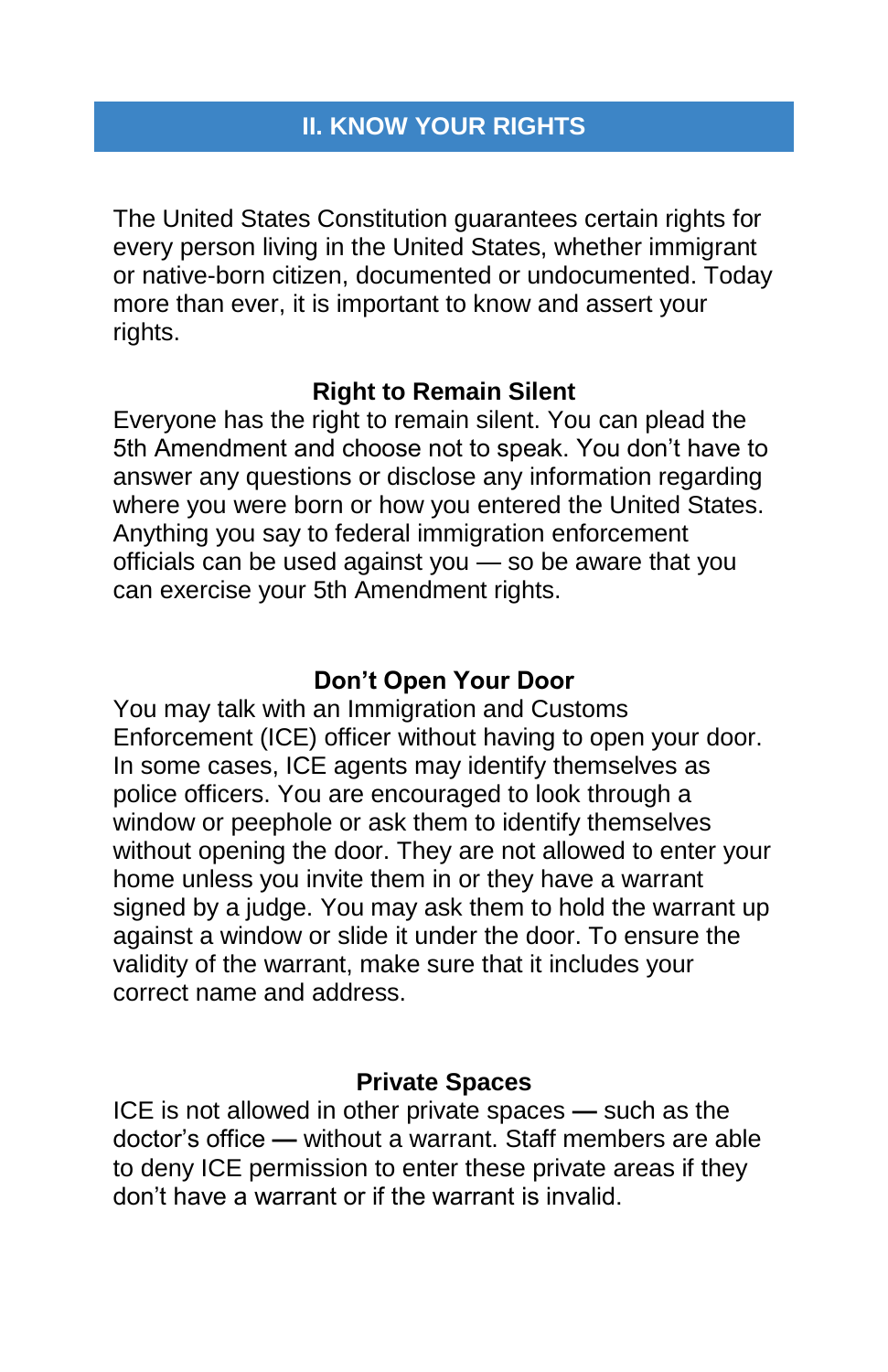The United States Constitution guarantees certain rights for every person living in the United States, whether immigrant or native-born citizen, documented or undocumented. Today more than ever, it is important to know and assert your rights.

## **Right to Remain Silent**

Everyone has the right to remain silent. You can plead the 5th Amendment and choose not to speak. You don't have to answer any questions or disclose any information regarding where you were born or how you entered the United States. Anything you say to federal immigration enforcement officials can be used against you — so be aware that you can exercise your 5th Amendment rights.

## **Don't Open Your Door**

You may talk with an Immigration and Customs Enforcement (ICE) officer without having to open your door. In some cases, ICE agents may identify themselves as police officers. You are encouraged to look through a window or peephole or ask them to identify themselves without opening the door. They are not allowed to enter your home unless you invite them in or they have a warrant signed by a judge. You may ask them to hold the warrant up against a window or slide it under the door. To ensure the validity of the warrant, make sure that it includes your correct name and address.

#### **Private Spaces**

ICE is not allowed in other private spaces **—** such as the doctor's office **—** without a warrant. Staff members are able to deny ICE permission to enter these private areas if they don't have a warrant or if the warrant is invalid.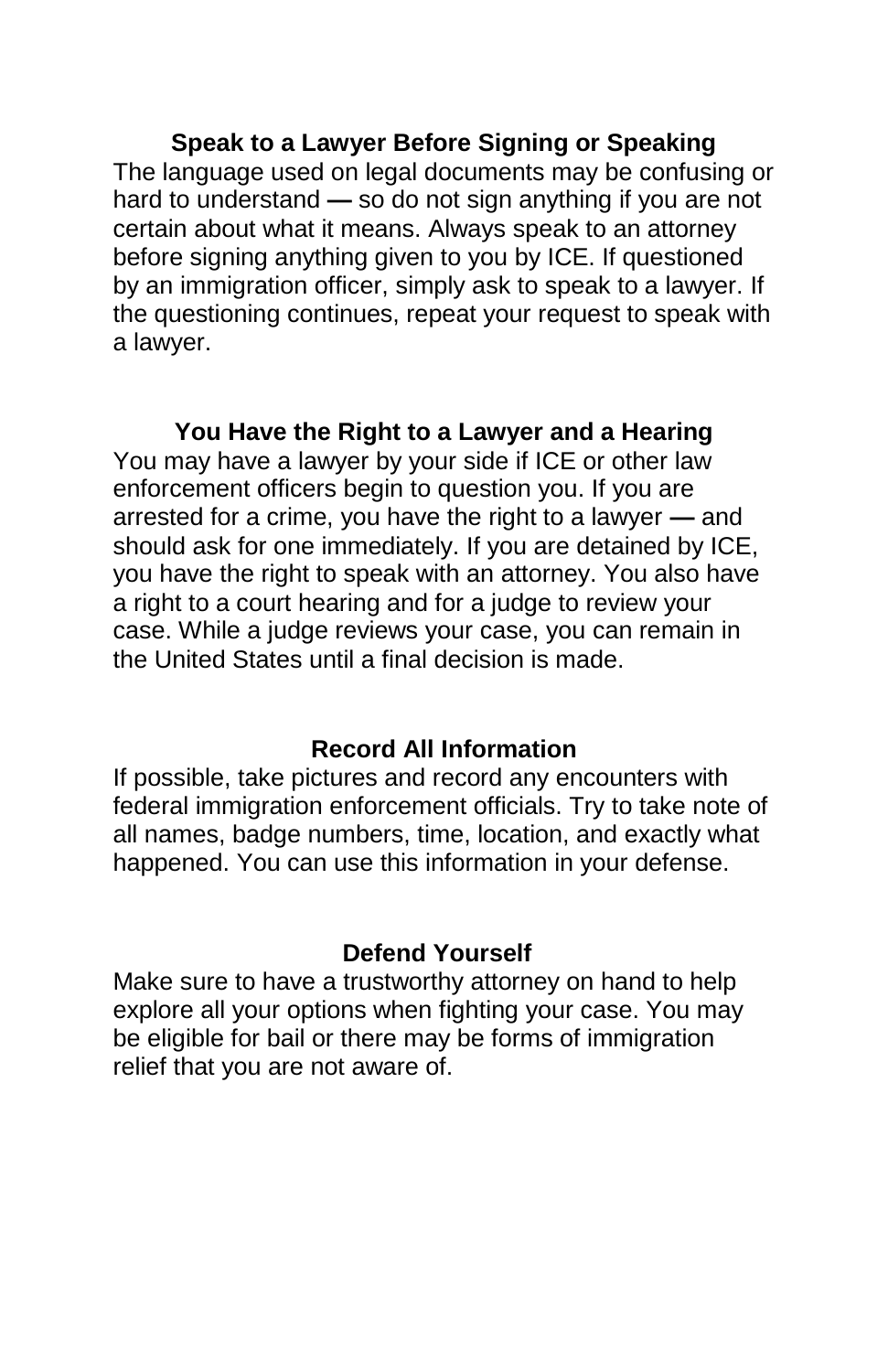**Speak to a Lawyer Before Signing or Speaking** The language used on legal documents may be confusing or hard to understand **—** so do not sign anything if you are not certain about what it means. Always speak to an attorney before signing anything given to you by ICE. If questioned by an immigration officer, simply ask to speak to a lawyer. If the questioning continues, repeat your request to speak with a lawyer.

## **You Have the Right to a Lawyer and a Hearing**

You may have a lawyer by your side if ICE or other law enforcement officers begin to question you. If you are arrested for a crime, you have the right to a lawyer **—** and should ask for one immediately. If you are detained by ICE, you have the right to speak with an attorney. You also have a right to a court hearing and for a judge to review your case. While a judge reviews your case, you can remain in the United States until a final decision is made.

#### **Record All Information**

If possible, take pictures and record any encounters with federal immigration enforcement officials. Try to take note of all names, badge numbers, time, location, and exactly what happened. You can use this information in your defense.

#### **Defend Yourself**

Make sure to have a trustworthy attorney on hand to help explore all your options when fighting your case. You may be eligible for bail or there may be forms of immigration relief that you are not aware of.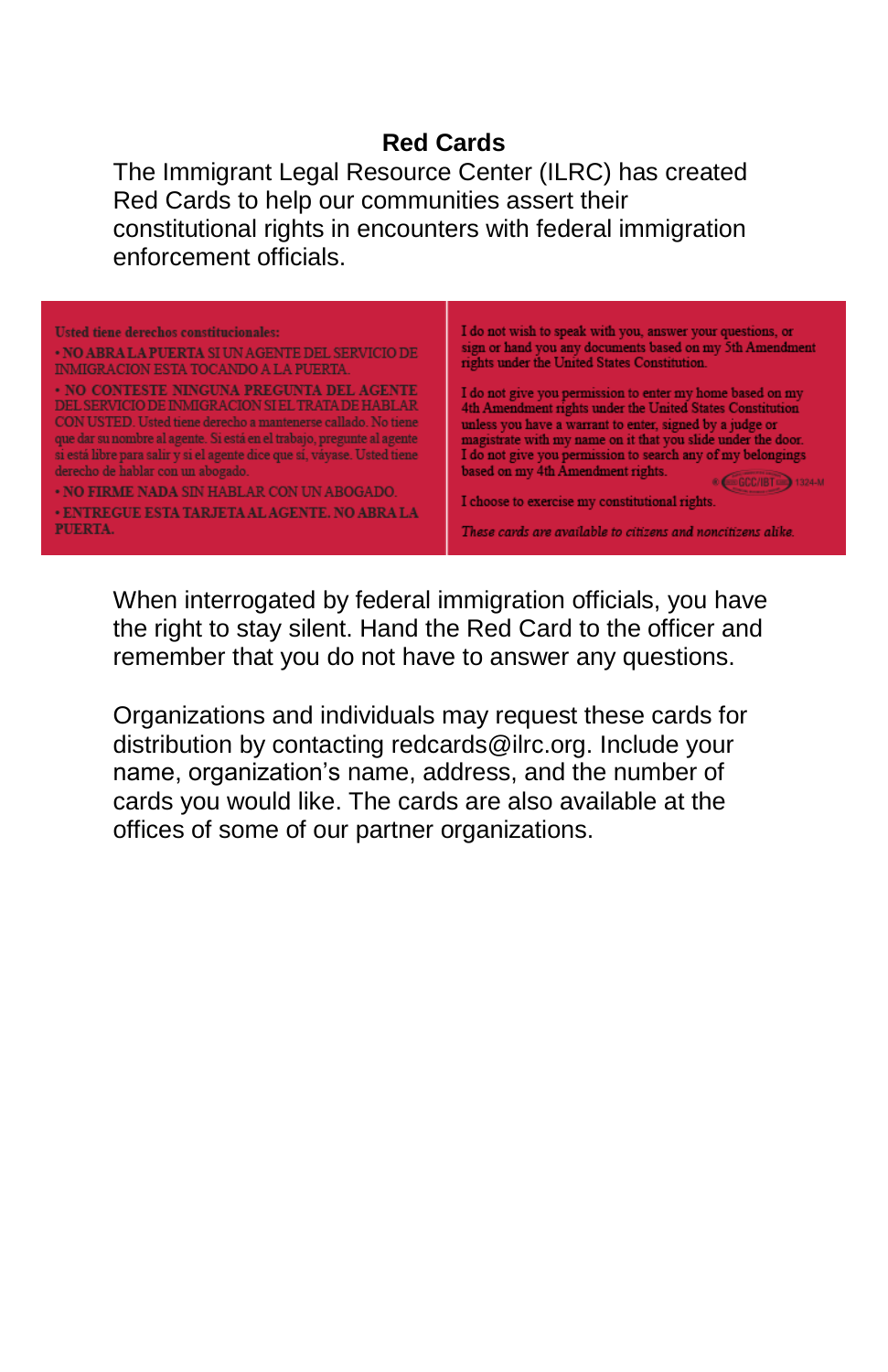## **Red Cards**

The Immigrant Legal Resource Center (ILRC) has created Red Cards to help our communities assert their constitutional rights in encounters with federal immigration enforcement officials.

| <b>Usted tiene derechos constitucionales:</b><br>. NO ABRA LA PUERTA SI UN AGENTE DEL SERVICIO DE<br><b>INMIGRACION ESTA TOCANDO A LA PUERTA.</b>                                                                                                                                                                                                                                                                                                                           | I do not wish to speak with you, answer your questions, or<br>sign or hand you any documents based on my 5th Amendment<br>rights under the United States Constitution.                                                                                                                                                                                                                                                                                                   |
|-----------------------------------------------------------------------------------------------------------------------------------------------------------------------------------------------------------------------------------------------------------------------------------------------------------------------------------------------------------------------------------------------------------------------------------------------------------------------------|--------------------------------------------------------------------------------------------------------------------------------------------------------------------------------------------------------------------------------------------------------------------------------------------------------------------------------------------------------------------------------------------------------------------------------------------------------------------------|
| · NO CONTESTE NINGUNA PREGUNTA DEL AGENTE<br>DEL SERVICIO DE INMIGRACION SI EL TRATA DE HABLAR<br>CON USTED. Usted tiene derecho a mantenerse callado. No tiene<br>que dar su nombre al agente. Si está en el trabajo, pregunte al agente<br>si está libre para salir y si el agente dice que sí, váyase. Usted tiene<br>derecho de hablar con un abogado.<br>. NO FIRME NADA SIN HABLAR CON UN ABOGADO.<br><b>. ENTREGUE ESTA TARJETA AL AGENTE. NO ABRA LA</b><br>PUERTA. | I do not give you permission to enter my home based on my<br>4th Amendment rights under the United States Constitution<br>unless you have a warrant to enter, signed by a judge or<br>magistrate with my name on it that you slide under the door.<br>I do not give you permission to search any of my belongings<br>based on my 4th Amendment rights.<br>I choose to exercise my constitutional rights.<br>These cards are available to citizens and noncitizens alike. |

When interrogated by federal immigration officials, you have the right to stay silent. Hand the Red Card to the officer and remember that you do not have to answer any questions.

Organizations and individuals may request these cards for distribution by contacting redcards@ilrc.org. Include your name, organization's name, address, and the number of cards you would like. The cards are also available at the offices of some of our partner organizations.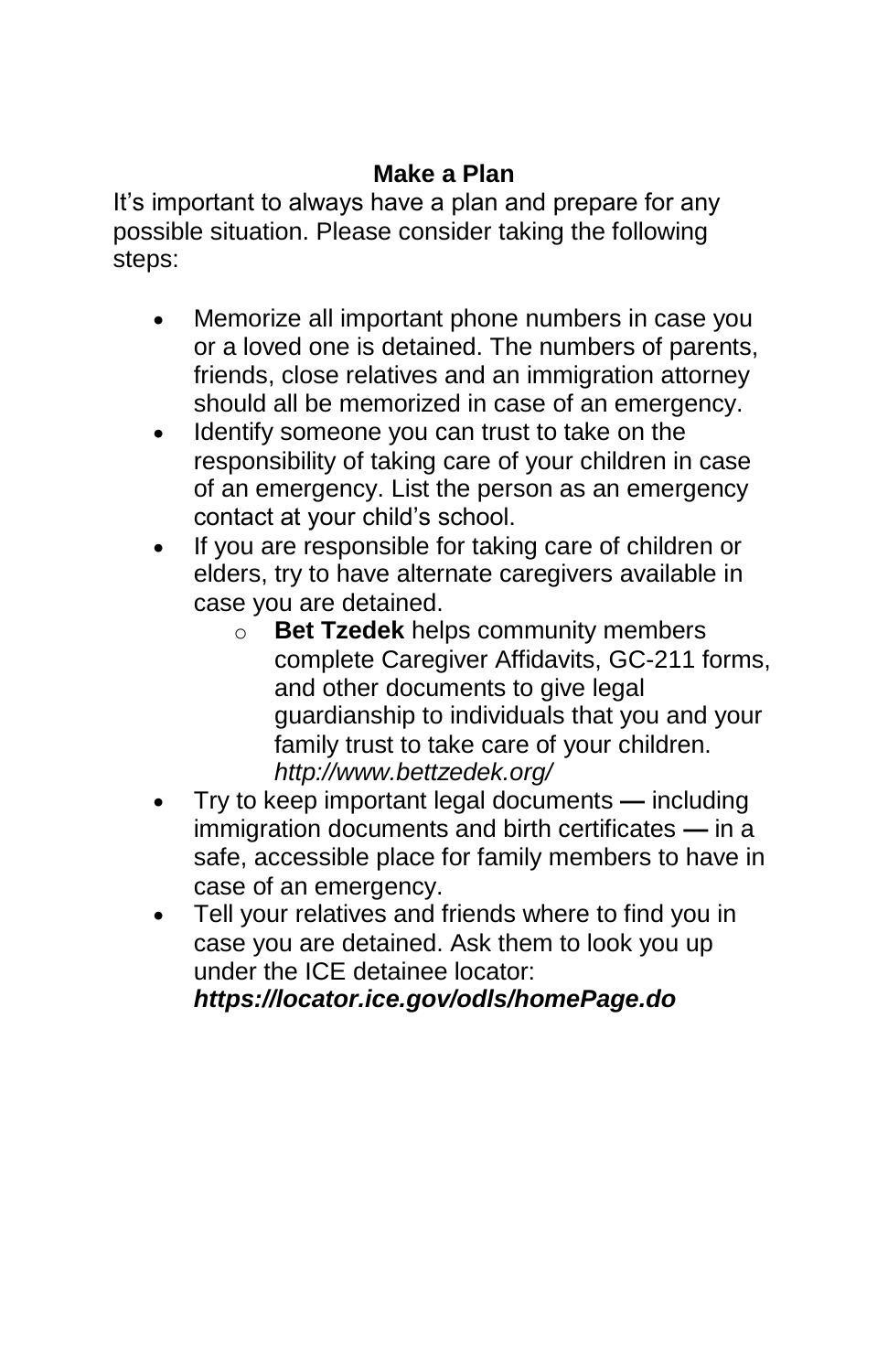## **Make a Plan**

It's important to always have a plan and prepare for any possible situation. Please consider taking the following steps:

- Memorize all important phone numbers in case you or a loved one is detained. The numbers of parents, friends, close relatives and an immigration attorney should all be memorized in case of an emergency.
- Identify someone you can trust to take on the responsibility of taking care of your children in case of an emergency. List the person as an emergency contact at your child's school.
- If you are responsible for taking care of children or elders, try to have alternate caregivers available in case you are detained.
	- o **Bet Tzedek** helps community members complete Caregiver Affidavits, GC-211 forms, and other documents to give legal guardianship to individuals that you and your family trust to take care of your children. *http://www.bettzedek.org/*
- Try to keep important legal documents **—** including immigration documents and birth certificates **—** in a safe, accessible place for family members to have in case of an emergency.
- Tell your relatives and friends where to find you in case you are detained. Ask them to look you up under the ICE detainee locator:

*https://locator.ice.gov/odls/homePage.do*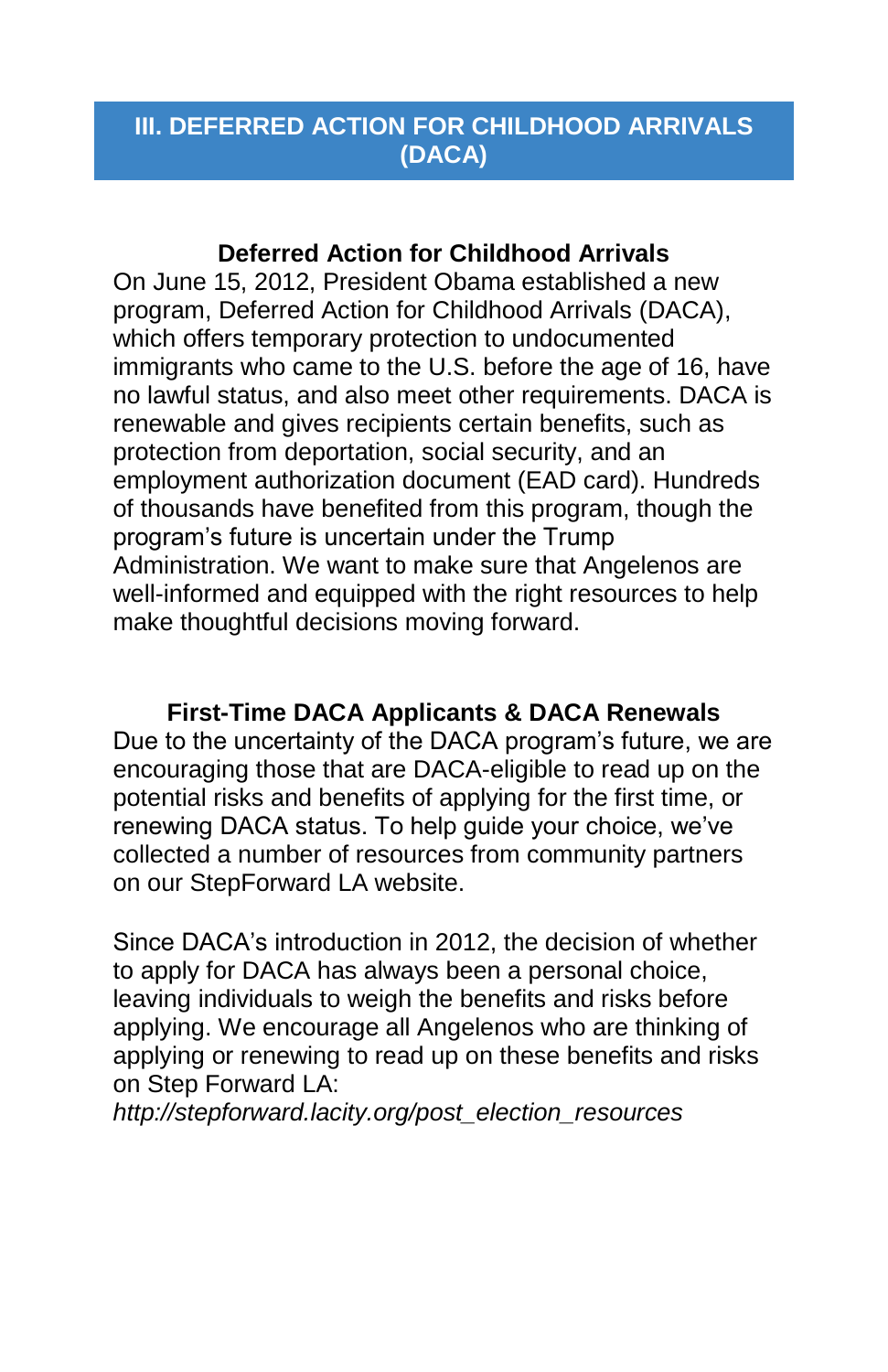## **III. DEFERRED ACTION FOR CHILDHOOD ARRIVALS (DACA)**

#### **Deferred Action for Childhood Arrivals**

On June 15, 2012, President Obama established a new program, Deferred Action for Childhood Arrivals (DACA), which offers temporary protection to undocumented immigrants who came to the U.S. before the age of 16, have no lawful status, and also meet other requirements. DACA is renewable and gives recipients certain benefits, such as protection from deportation, social security, and an employment authorization document (EAD card). Hundreds of thousands have benefited from this program, though the program's future is uncertain under the Trump Administration. We want to make sure that Angelenos are well-informed and equipped with the right resources to help make thoughtful decisions moving forward.

**First-Time DACA Applicants & DACA Renewals** Due to the uncertainty of the DACA program's future, we are encouraging those that are DACA-eligible to read up on the potential risks and benefits of applying for the first time, or renewing DACA status. To help guide your choice, we've collected a number of resources from community partners on our StepForward LA website.

Since DACA's introduction in 2012, the decision of whether to apply for DACA has always been a personal choice, leaving individuals to weigh the benefits and risks before applying. We encourage all Angelenos who are thinking of applying or renewing to read up on these benefits and risks on Step Forward LA:

*http://stepforward.lacity.org/post\_election\_resources*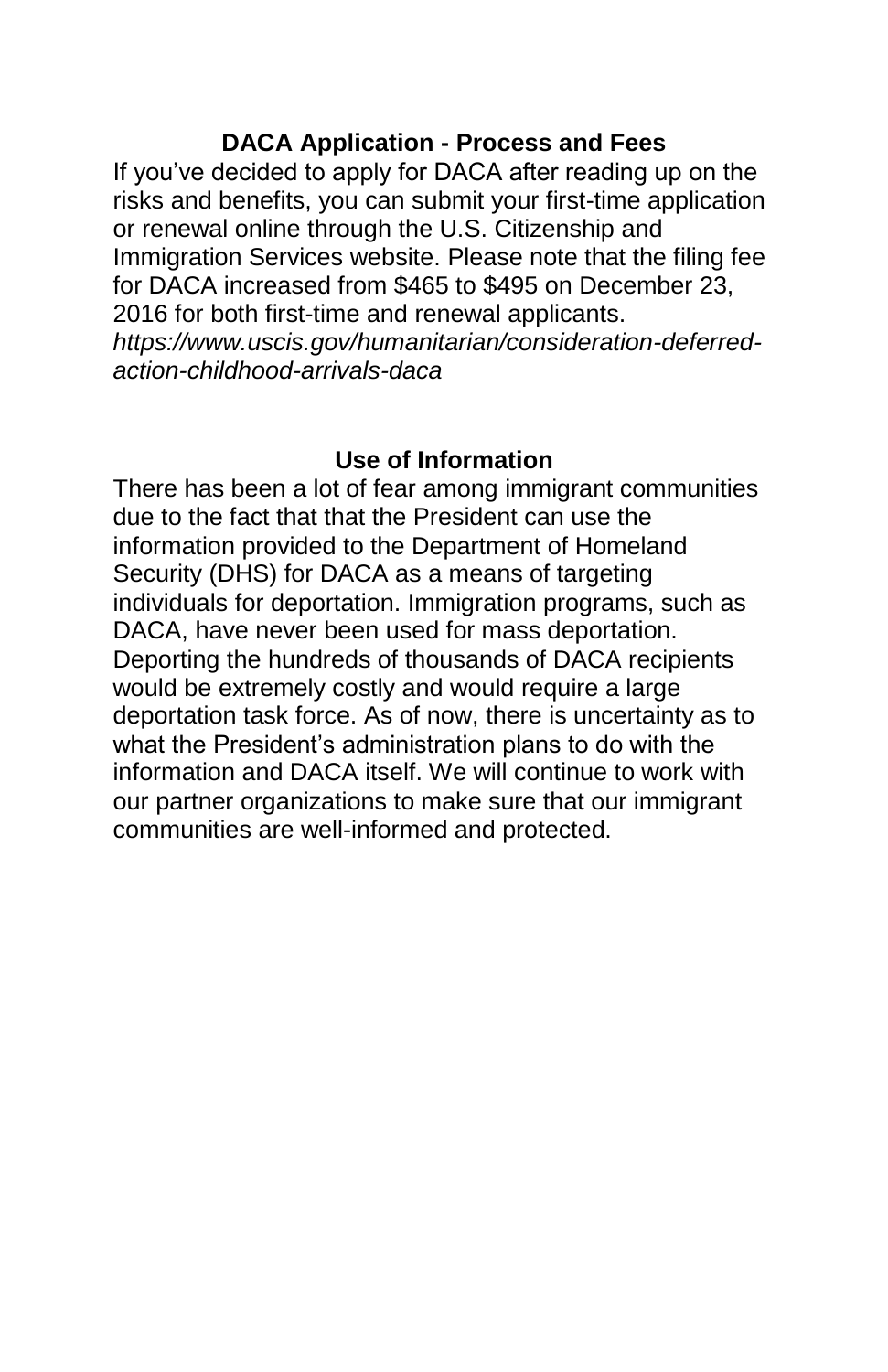#### **DACA Application - Process and Fees**

If you've decided to apply for DACA after reading up on the risks and benefits, you can submit your first-time application or renewal online through the U.S. Citizenship and Immigration Services website. Please note that the filing fee for DACA increased from \$465 to \$495 on December 23, 2016 for both first-time and renewal applicants. *https://www.uscis.gov/humanitarian/consideration-deferredaction-childhood-arrivals-daca*

#### **Use of Information**

There has been a lot of fear among immigrant communities due to the fact that that the President can use the information provided to the Department of Homeland Security (DHS) for DACA as a means of targeting individuals for deportation. Immigration programs, such as DACA, have never been used for mass deportation. Deporting the hundreds of thousands of DACA recipients would be extremely costly and would require a large deportation task force. As of now, there is uncertainty as to what the President's administration plans to do with the information and DACA itself. We will continue to work with our partner organizations to make sure that our immigrant communities are well-informed and protected.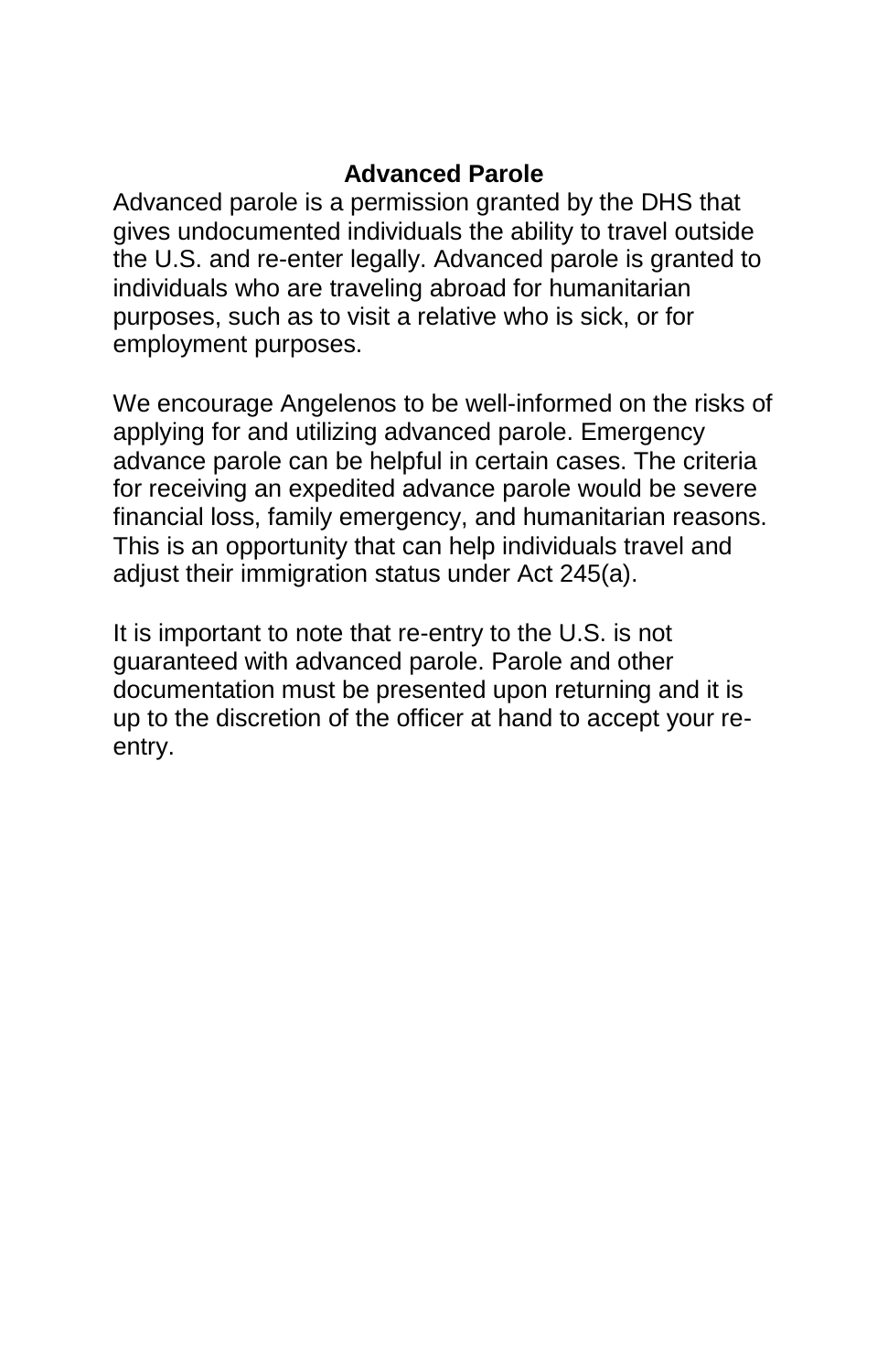## **Advanced Parole**

Advanced parole is a permission granted by the DHS that gives undocumented individuals the ability to travel outside the U.S. and re-enter legally. Advanced parole is granted to individuals who are traveling abroad for humanitarian purposes, such as to visit a relative who is sick, or for employment purposes.

We encourage Angelenos to be well-informed on the risks of applying for and utilizing advanced parole. Emergency advance parole can be helpful in certain cases. The criteria for receiving an expedited advance parole would be severe financial loss, family emergency, and humanitarian reasons. This is an opportunity that can help individuals travel and adjust their immigration status under Act 245(a).

It is important to note that re-entry to the U.S. is not guaranteed with advanced parole. Parole and other documentation must be presented upon returning and it is up to the discretion of the officer at hand to accept your reentry.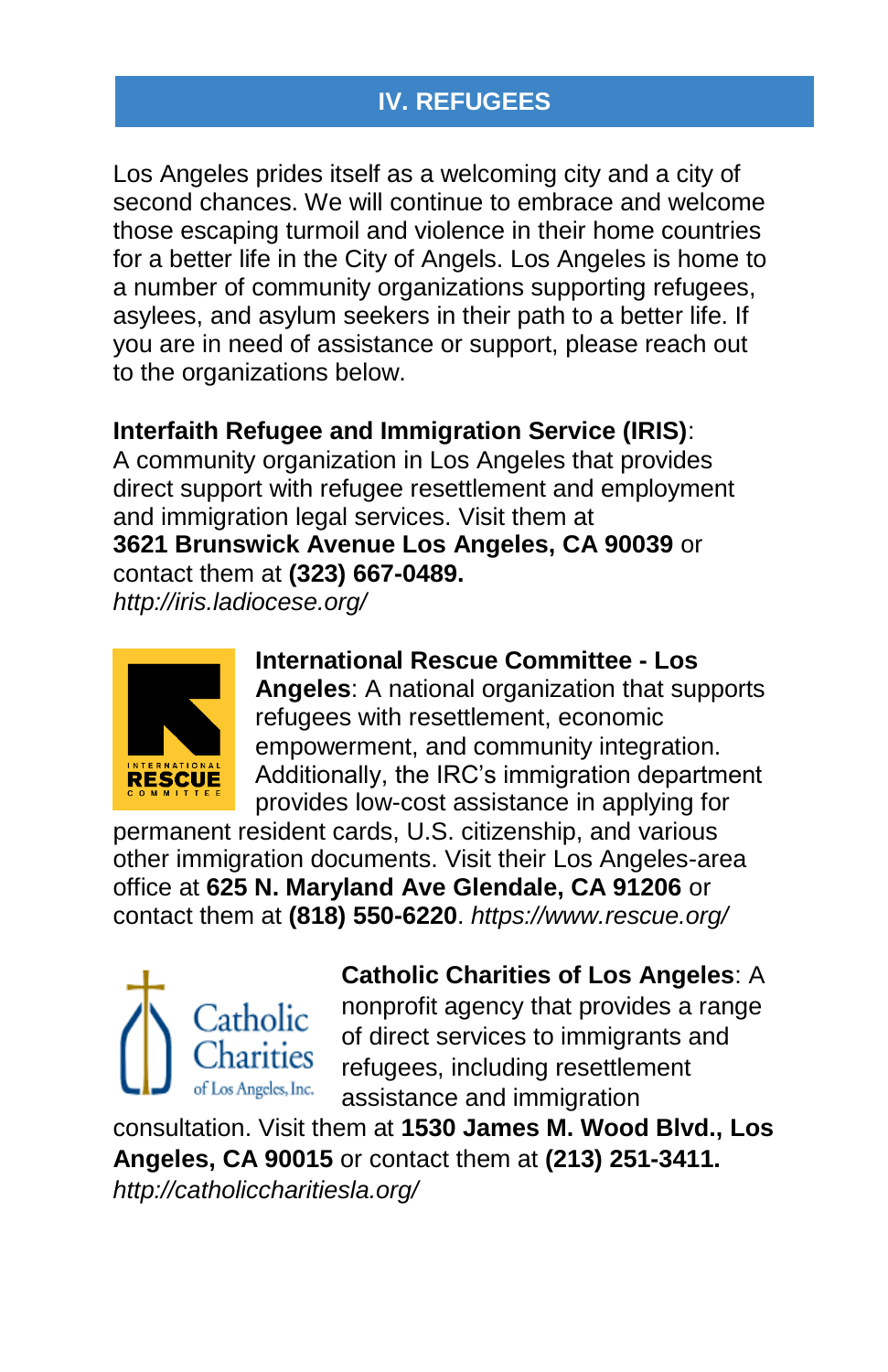## **IV. REFUGEES**

Los Angeles prides itself as a welcoming city and a city of second chances. We will continue to embrace and welcome those escaping turmoil and violence in their home countries for a better life in the City of Angels. Los Angeles is home to a number of community organizations supporting refugees, asylees, and asylum seekers in their path to a better life. If you are in need of assistance or support, please reach out to the organizations below.

#### **Interfaith Refugee and Immigration Service (IRIS)**:

A community organization in Los Angeles that provides direct support with refugee resettlement and employment and immigration legal services. Visit them at **3621 Brunswick Avenue Los Angeles, CA 90039** or contact them at **(323) 667-0489.**

*http://iris.ladiocese.org/*



**International Rescue Committee - Los Angeles**: A national organization that supports refugees with resettlement, economic empowerment, and community integration. Additionally, the IRC's immigration department provides low-cost assistance in applying for

permanent resident cards, U.S. citizenship, and various other immigration documents. Visit their Los Angeles-area office at **625 N. Maryland Ave Glendale, CA 91206** or contact them at **(818) 550-6220**. *https://www.rescue.org/*



#### **Catholic Charities of Los Angeles**: A

nonprofit agency that provides a range of direct services to immigrants and refugees, including resettlement assistance and immigration

consultation. Visit them at **1530 James M. Wood Blvd., Los Angeles, CA 90015** or contact them at **(213) 251-3411.**  *http://catholiccharitiesla.org/*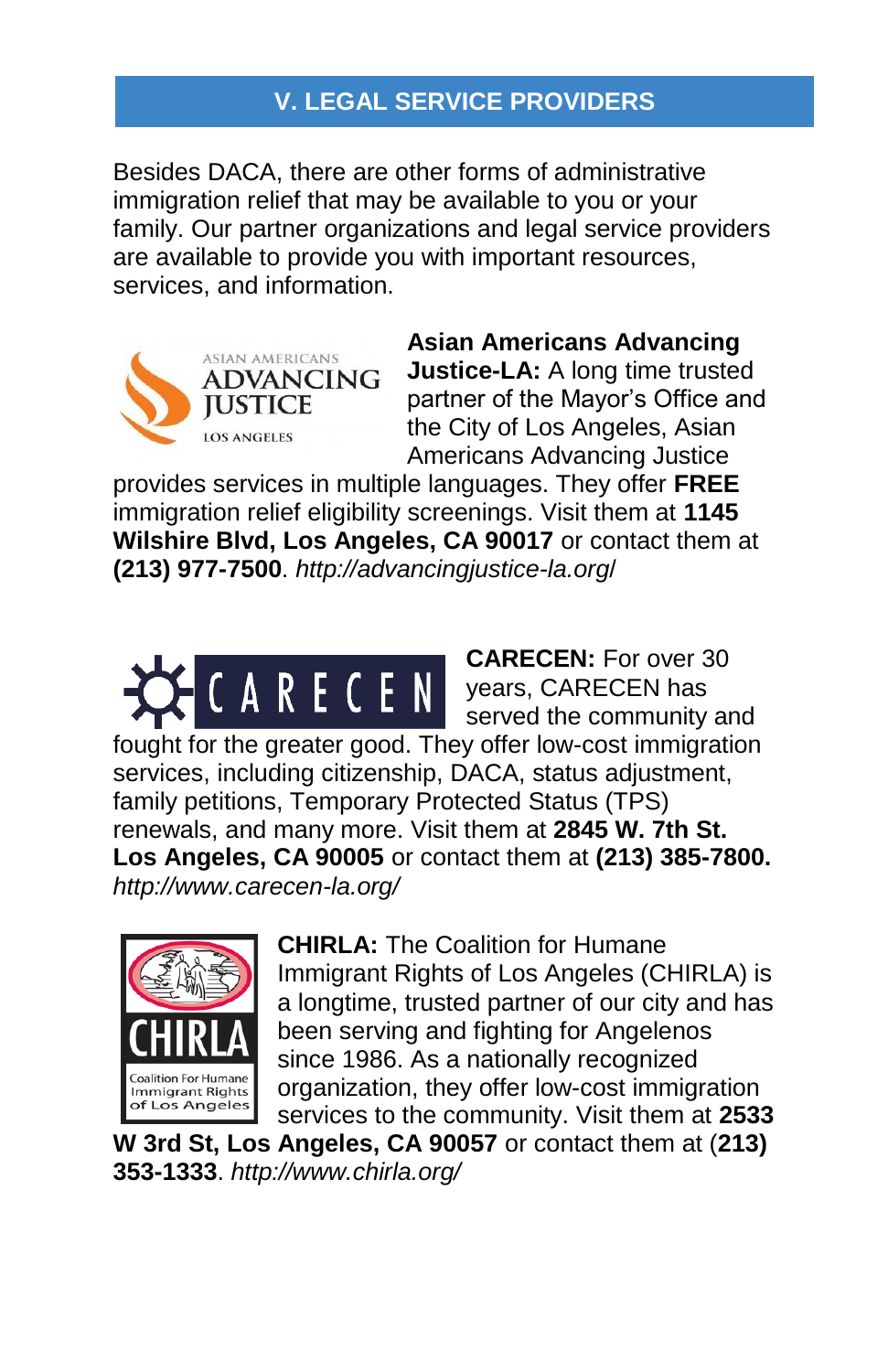## **V. LEGAL SERVICE PROVIDERS**

Besides DACA, there are other forms of administrative immigration relief that may be available to you or your family. Our partner organizations and legal service providers are available to provide you with important resources, services, and information.



**Asian Americans Advancing Justice-LA:** A long time trusted partner of the Mayor's Office and the City of Los Angeles, Asian Americans Advancing Justice

provides services in multiple languages. They offer **FREE** immigration relief eligibility screenings. Visit them at **1145 Wilshire Blvd, Los Angeles, CA 90017** or contact them at **(213) 977-7500**. *http://advancingjustice-la.org*/

**CARECEN:** For over 30 A R E C E N years, CARECEN has served the community and fought for the greater good. They offer low-cost immigration services, including citizenship, DACA, status adjustment, family petitions, Temporary Protected Status (TPS) renewals, and many more. Visit them at **2845 W. 7th St. Los Angeles, CA 90005** or contact them at **(213) 385-7800.** *http://www.carecen-la.org/*



**CHIRLA:** The Coalition for Humane Immigrant Rights of Los Angeles (CHIRLA) is a longtime, trusted partner of our city and has been serving and fighting for Angelenos since 1986. As a nationally recognized organization, they offer low-cost immigration services to the community. Visit them at **2533** 

**W 3rd St, Los Angeles, CA 90057** or contact them at (**213) 353-1333**. *http://www.chirla.org/*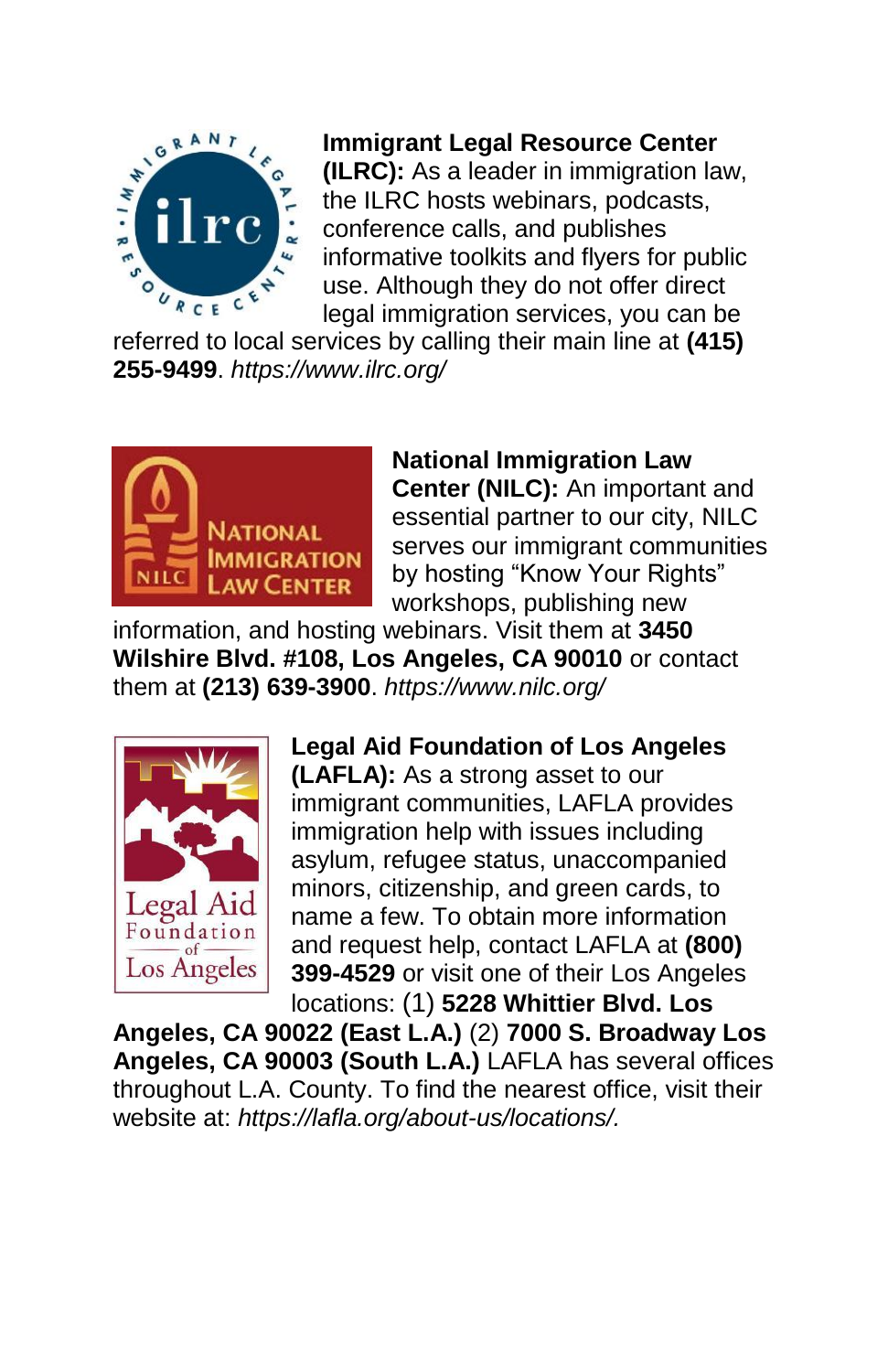

**Immigrant Legal Resource Center (ILRC):** As a leader in immigration law, the ILRC hosts webinars, podcasts, conference calls, and publishes informative toolkits and flyers for public use. Although they do not offer direct legal immigration services, you can be

referred to local services by calling their main line at **(415) 255-9499**. *https://www.ilrc.org/*



**National Immigration Law Center (NILC):** An important and essential partner to our city, NILC serves our immigrant communities by hosting "Know Your Rights" workshops, publishing new

information, and hosting webinars. Visit them at **3450 Wilshire Blvd. #108, Los Angeles, CA 90010** or contact them at **(213) 639-3900**. *https://www.nilc.org/*



**Legal Aid Foundation of Los Angeles (LAFLA):** As a strong asset to our immigrant communities, LAFLA provides immigration help with issues including asylum, refugee status, unaccompanied minors, citizenship, and green cards, to name a few. To obtain more information and request help, contact LAFLA at **(800) 399-4529** or visit one of their Los Angeles locations: (1) **5228 Whittier Blvd. Los** 

**Angeles, CA 90022 (East L.A.)** (2) **7000 S. Broadway Los Angeles, CA 90003 (South L.A.)** LAFLA has several offices throughout L.A. County. To find the nearest office, visit their website at: *https://lafla.org/about-us/locations/.*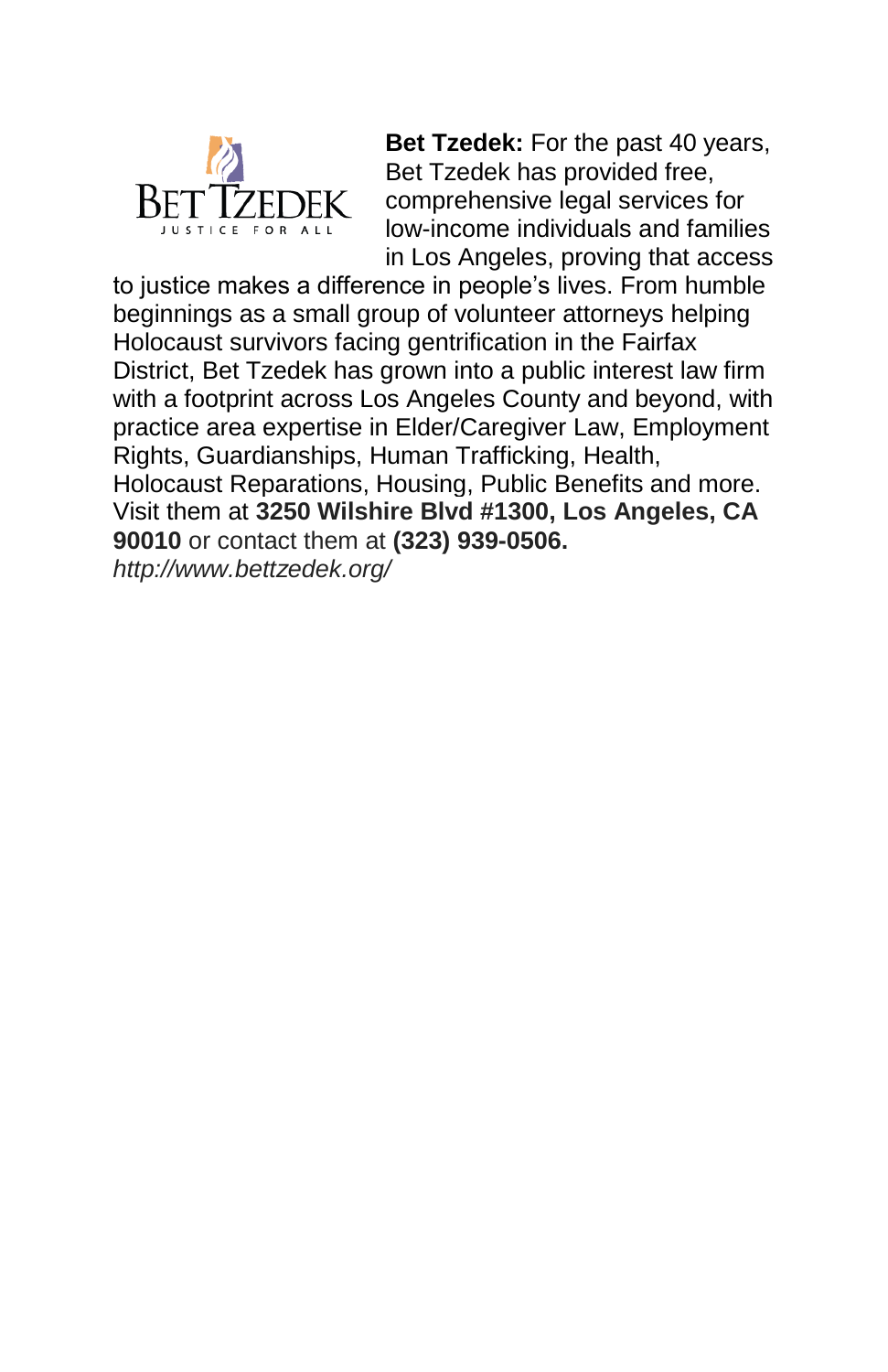

**Bet Tzedek:** For the past 40 years, Bet Tzedek has provided free, comprehensive legal services for low-income individuals and families in Los Angeles, proving that access

to justice makes a difference in people's lives. From humble beginnings as a small group of volunteer attorneys helping Holocaust survivors facing gentrification in the Fairfax District, Bet Tzedek has grown into a public interest law firm with a footprint across Los Angeles County and beyond, with practice area expertise in Elder/Caregiver Law, Employment Rights, Guardianships, Human Trafficking, Health, Holocaust Reparations, Housing, Public Benefits and more. Visit them at **3250 Wilshire Blvd #1300, Los Angeles, CA 90010** or contact them at **(323) 939-0506.**

*http://www.bettzedek.org/*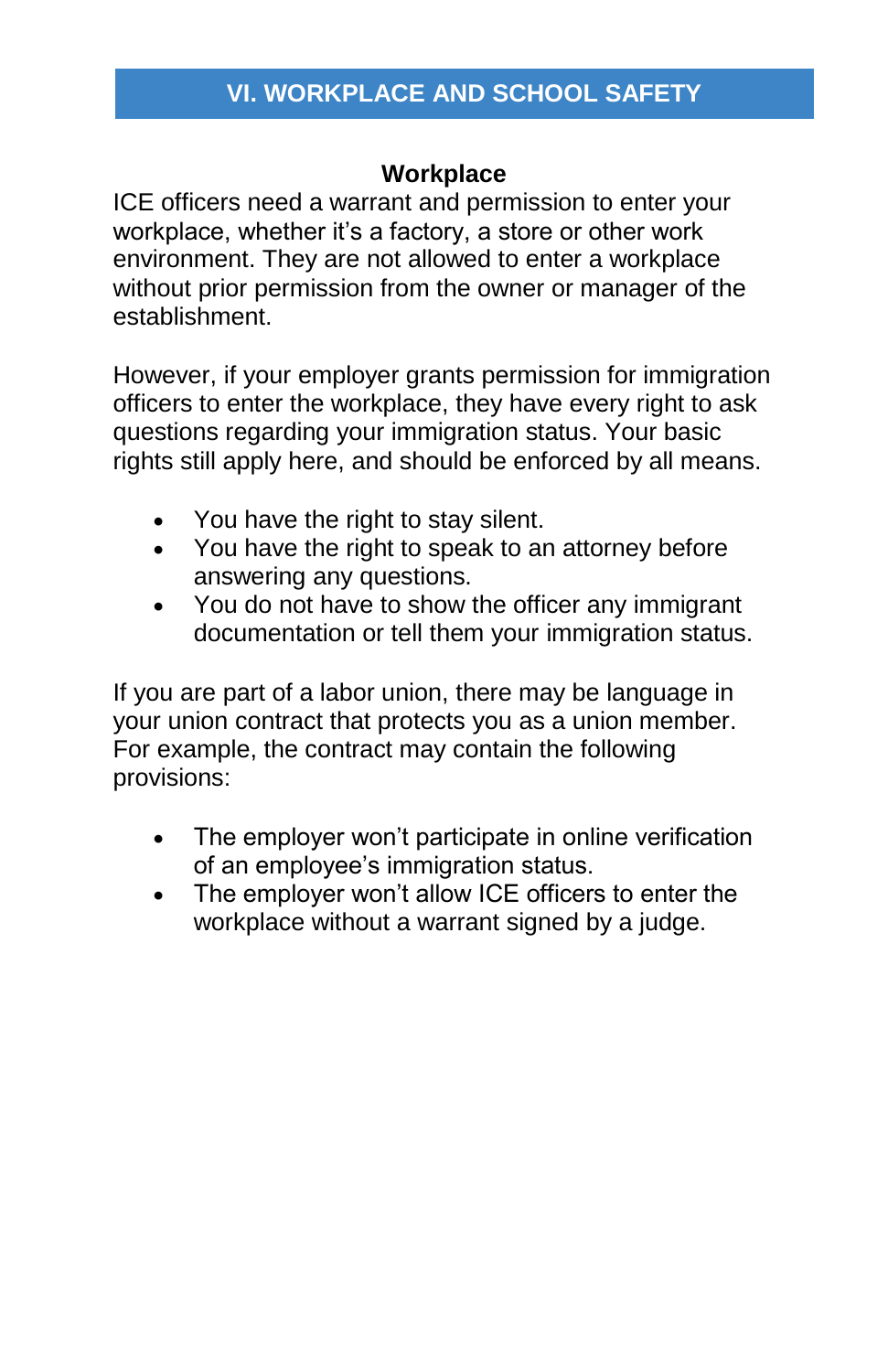## **VI. WORKPLACE AND SCHOOL SAFETY**

#### **Workplace**

ICE officers need a warrant and permission to enter your workplace, whether it's a factory, a store or other work environment. They are not allowed to enter a workplace without prior permission from the owner or manager of the establishment.

However, if your employer grants permission for immigration officers to enter the workplace, they have every right to ask questions regarding your immigration status. Your basic rights still apply here, and should be enforced by all means.

- You have the right to stay silent.
- You have the right to speak to an attorney before answering any questions.
- You do not have to show the officer any immigrant documentation or tell them your immigration status.

If you are part of a labor union, there may be language in your union contract that protects you as a union member. For example, the contract may contain the following provisions:

- The employer won't participate in online verification of an employee's immigration status.
- The employer won't allow ICE officers to enter the workplace without a warrant signed by a judge.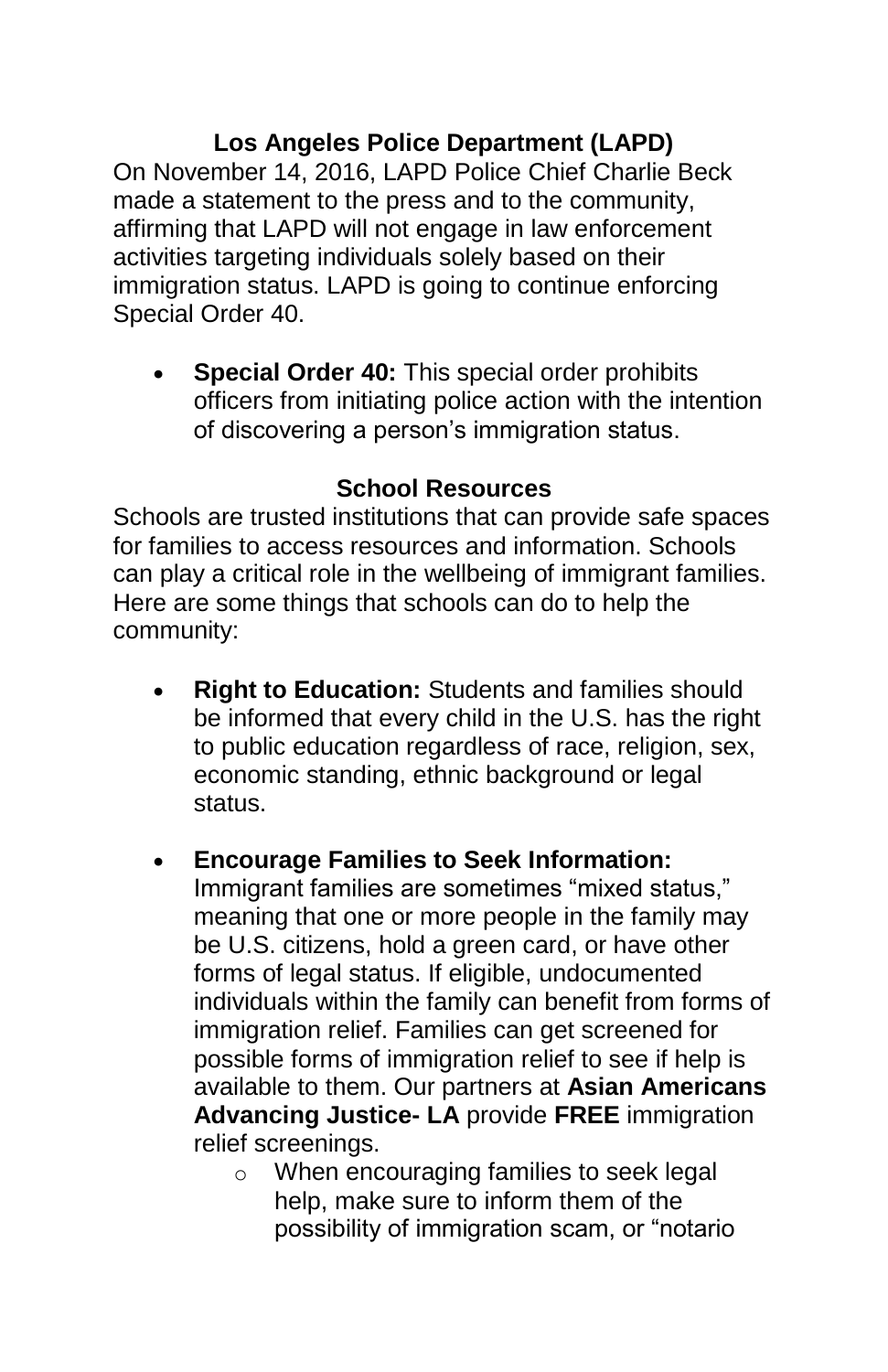**Los Angeles Police Department (LAPD)** On November 14, 2016, LAPD Police Chief Charlie Beck made a statement to the press and to the community, affirming that LAPD will not engage in law enforcement activities targeting individuals solely based on their immigration status. LAPD is going to continue enforcing Special Order 40.

 **Special Order 40:** This special order prohibits officers from initiating police action with the intention of discovering a person's immigration status.

#### **School Resources**

Schools are trusted institutions that can provide safe spaces for families to access resources and information. Schools can play a critical role in the wellbeing of immigrant families. Here are some things that schools can do to help the community:

 **Right to Education:** Students and families should be informed that every child in the U.S. has the right to public education regardless of race, religion, sex, economic standing, ethnic background or legal status.

#### **Encourage Families to Seek Information:**

Immigrant families are sometimes "mixed status," meaning that one or more people in the family may be U.S. citizens, hold a green card, or have other forms of legal status. If eligible, undocumented individuals within the family can benefit from forms of immigration relief. Families can get screened for possible forms of immigration relief to see if help is available to them. Our partners at **Asian Americans Advancing Justice- LA** provide **FREE** immigration relief screenings.

o When encouraging families to seek legal help, make sure to inform them of the possibility of immigration scam, or "notario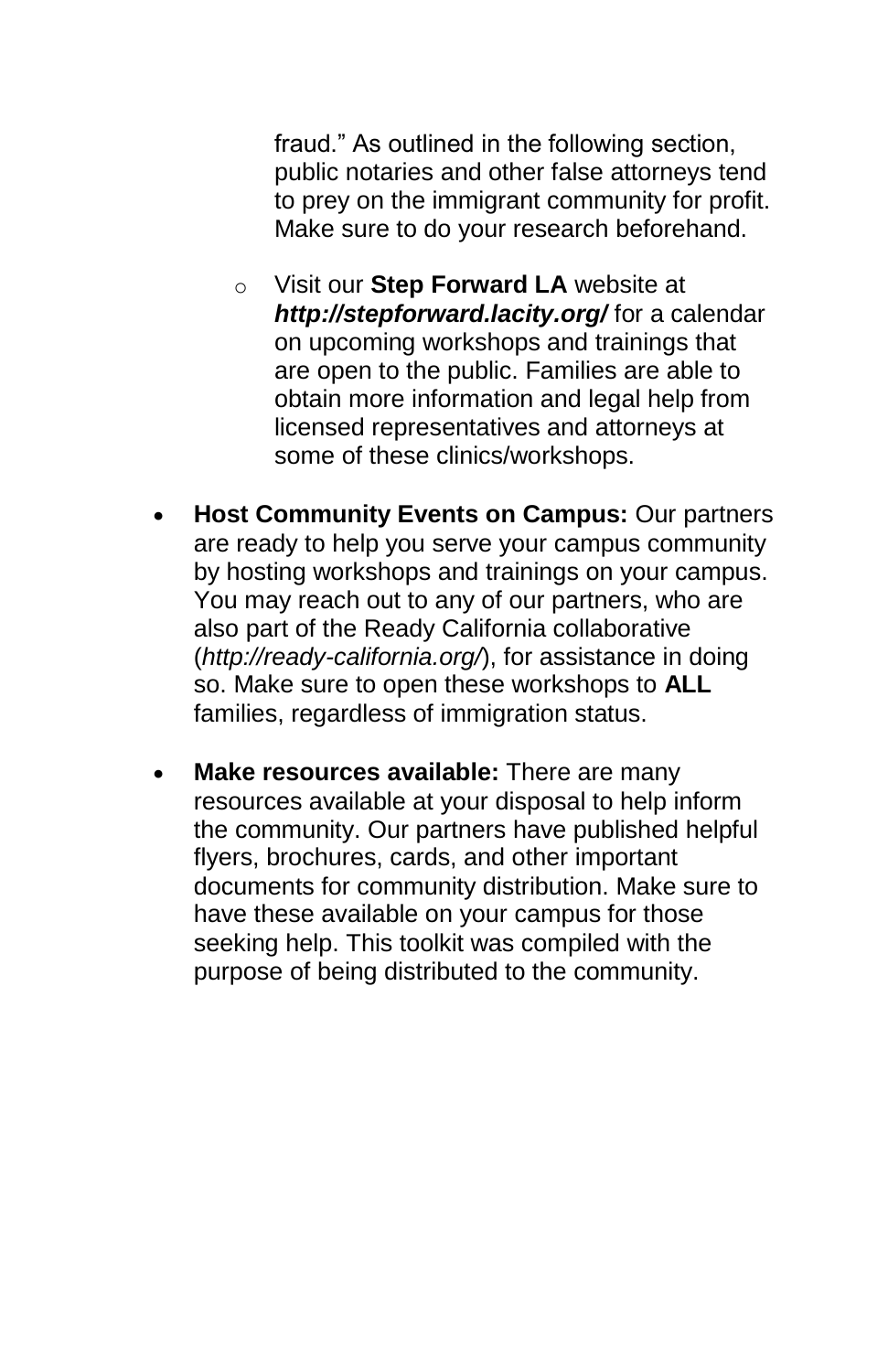fraud." As outlined in the following section, public notaries and other false attorneys tend to prey on the immigrant community for profit. Make sure to do your research beforehand.

- o Visit our **Step Forward LA** website at *http://stepforward.lacity.org/* for a calendar on upcoming workshops and trainings that are open to the public. Families are able to obtain more information and legal help from licensed representatives and attorneys at some of these clinics/workshops.
- **Host Community Events on Campus:** Our partners are ready to help you serve your campus community by hosting workshops and trainings on your campus. You may reach out to any of our partners, who are also part of the Ready California collaborative (*http://ready-california.org/*), for assistance in doing so. Make sure to open these workshops to **ALL**  families, regardless of immigration status.
- **Make resources available:** There are many resources available at your disposal to help inform the community. Our partners have published helpful flyers, brochures, cards, and other important documents for community distribution. Make sure to have these available on your campus for those seeking help. This toolkit was compiled with the purpose of being distributed to the community.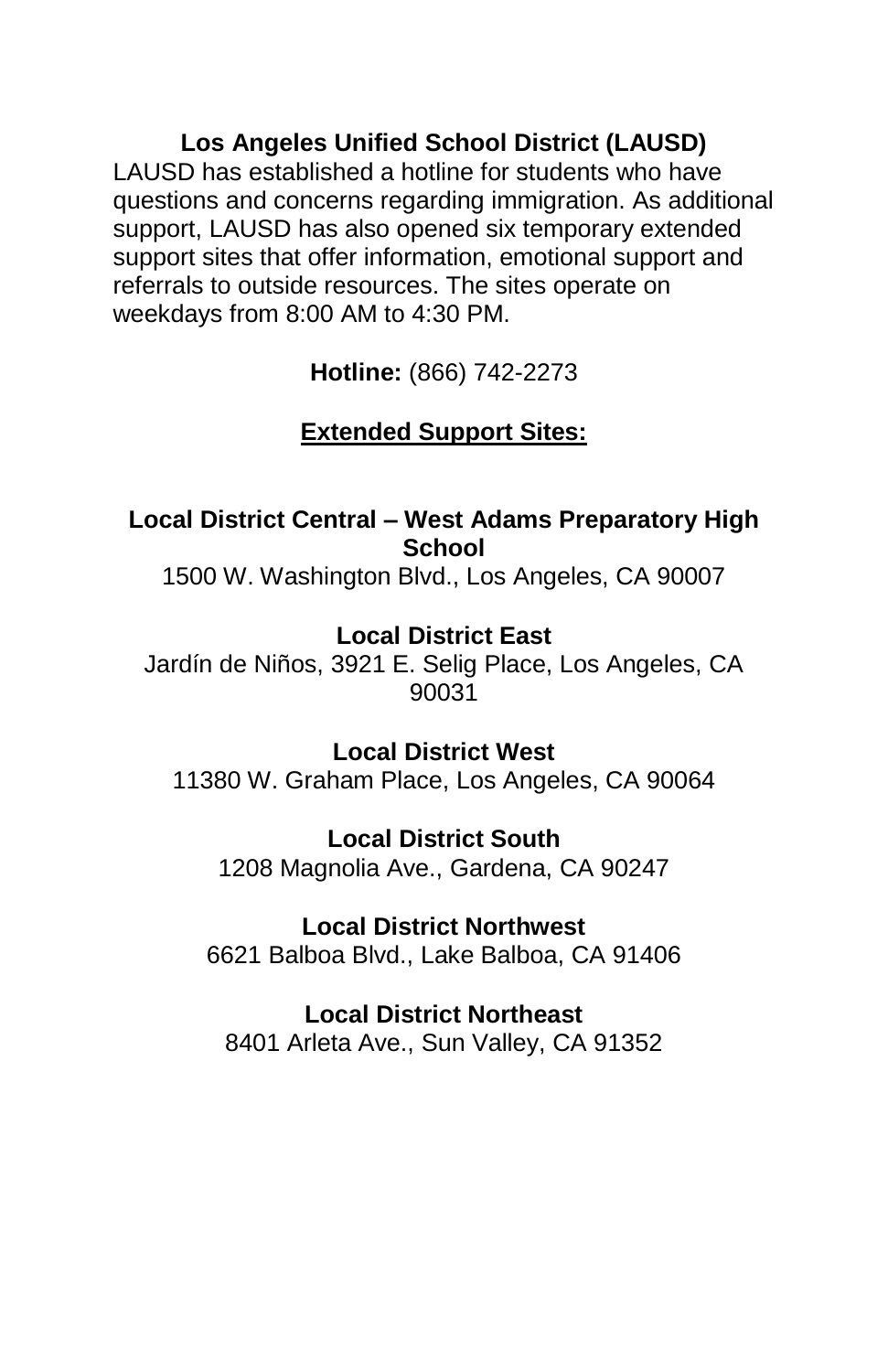**Los Angeles Unified School District (LAUSD)** LAUSD has established a hotline for students who have questions and concerns regarding immigration. As additional support, LAUSD has also opened six temporary extended support sites that offer information, emotional support and referrals to outside resources. The sites operate on weekdays from 8:00 AM to 4:30 PM.

**Hotline:** (866) 742-2273

## **Extended Support Sites:**

## **Local District Central – West Adams Preparatory High School**

1500 W. Washington Blvd., Los Angeles, CA 90007

## **Local District East**

Jardín de Niños, 3921 E. Selig Place, Los Angeles, CA 90031

## **Local District West**

11380 W. Graham Place, Los Angeles, CA 90064

## **Local District South**

1208 Magnolia Ave., Gardena, CA 90247

## **Local District Northwest**

6621 Balboa Blvd., Lake Balboa, CA 91406

## **Local District Northeast**

8401 Arleta Ave., Sun Valley, CA 91352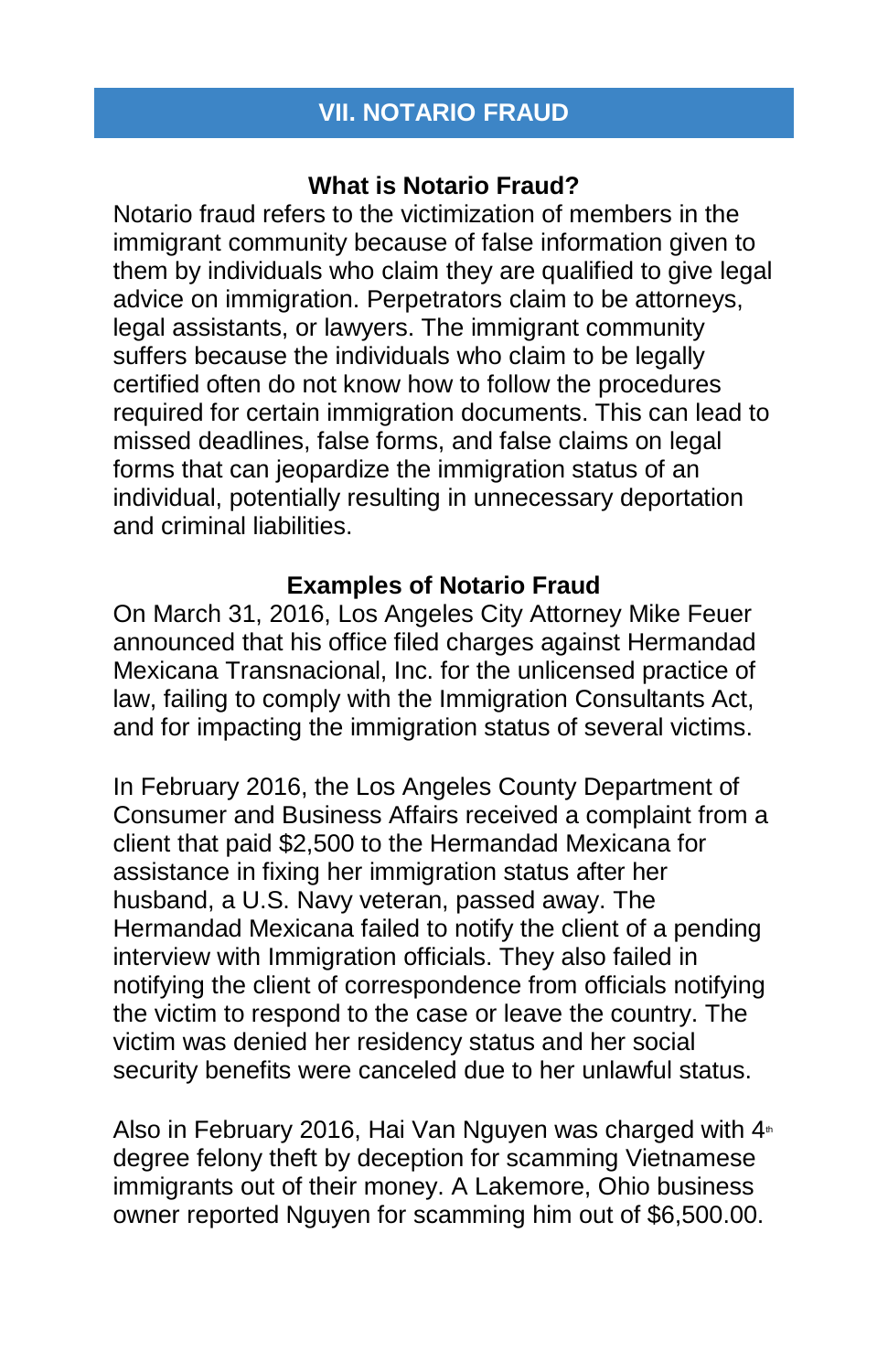## **VII. NOTARIO FRAUD**

## **What is Notario Fraud?**

Notario fraud refers to the victimization of members in the immigrant community because of false information given to them by individuals who claim they are qualified to give legal advice on immigration. Perpetrators claim to be attorneys, legal assistants, or lawyers. The immigrant community suffers because the individuals who claim to be legally certified often do not know how to follow the procedures required for certain immigration documents. This can lead to missed deadlines, false forms, and false claims on legal forms that can jeopardize the immigration status of an individual, potentially resulting in unnecessary deportation and criminal liabilities.

## **Examples of Notario Fraud**

On March 31, 2016, Los Angeles City Attorney Mike Feuer announced that his office filed charges against Hermandad Mexicana Transnacional, Inc. for the unlicensed practice of law, failing to comply with the Immigration Consultants Act, and for impacting the immigration status of several victims.

In February 2016, the Los Angeles County Department of Consumer and Business Affairs received a complaint from a client that paid \$2,500 to the Hermandad Mexicana for assistance in fixing her immigration status after her husband, a U.S. Navy veteran, passed away. The Hermandad Mexicana failed to notify the client of a pending interview with Immigration officials. They also failed in notifying the client of correspondence from officials notifying the victim to respond to the case or leave the country. The victim was denied her residency status and her social security benefits were canceled due to her unlawful status.

Also in February 2016, Hai Van Nguyen was charged with  $4<sup>th</sup>$ degree felony theft by deception for scamming Vietnamese immigrants out of their money. A Lakemore, Ohio business owner reported Nguyen for scamming him out of \$6,500.00.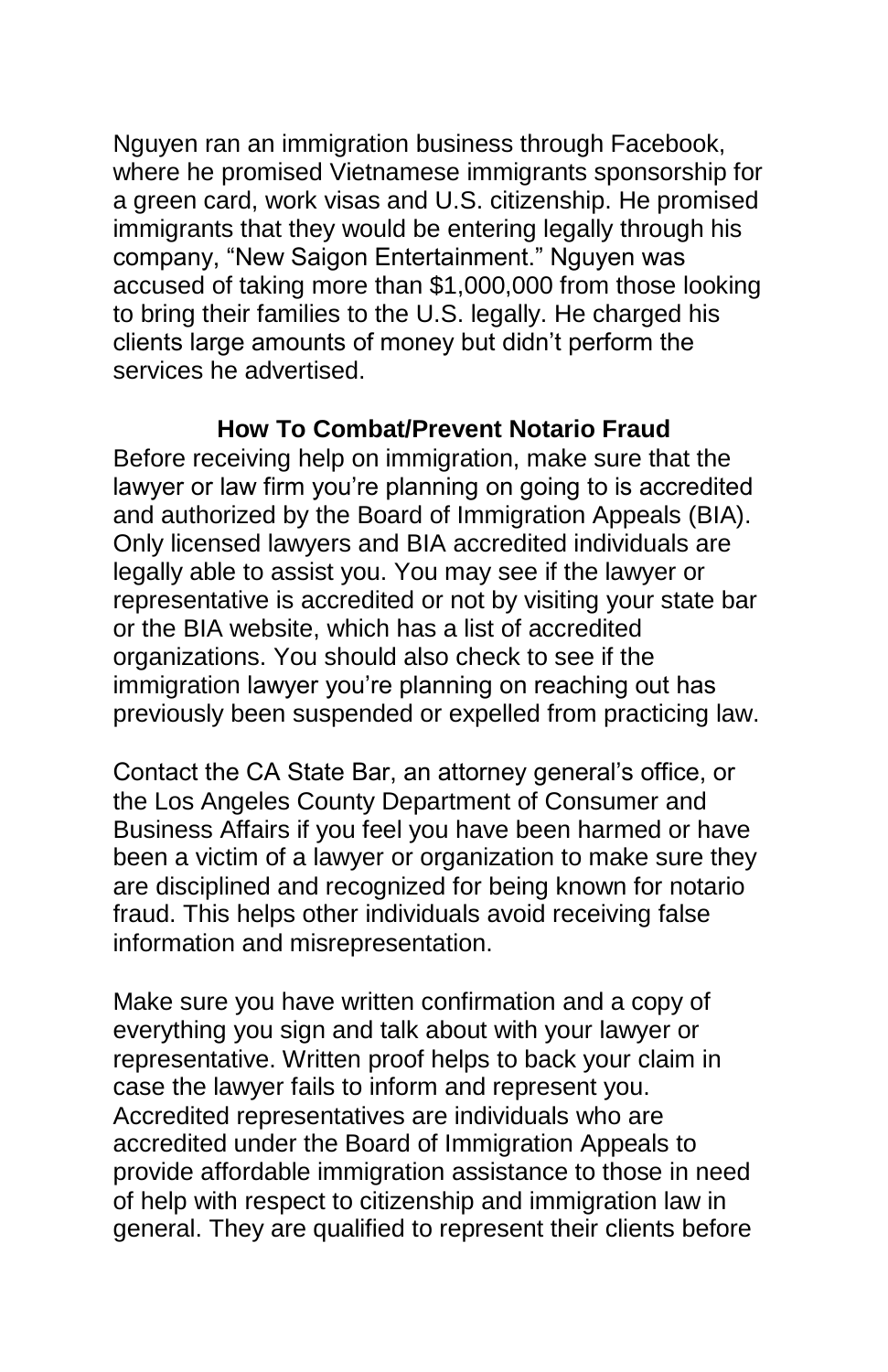Nguyen ran an immigration business through Facebook, where he promised Vietnamese immigrants sponsorship for a green card, work visas and U.S. citizenship. He promised immigrants that they would be entering legally through his company, "New Saigon Entertainment." Nguyen was accused of taking more than \$1,000,000 from those looking to bring their families to the U.S. legally. He charged his clients large amounts of money but didn't perform the services he advertised.

#### **How To Combat/Prevent Notario Fraud**

Before receiving help on immigration, make sure that the lawyer or law firm you're planning on going to is accredited and authorized by the Board of Immigration Appeals (BIA). Only licensed lawyers and BIA accredited individuals are legally able to assist you. You may see if the lawyer or representative is accredited or not by visiting your state bar or the BIA website, which has a list of accredited organizations. You should also check to see if the immigration lawyer you're planning on reaching out has previously been suspended or expelled from practicing law.

Contact the CA State Bar, an attorney general's office, or the Los Angeles County Department of Consumer and Business Affairs if you feel you have been harmed or have been a victim of a lawyer or organization to make sure they are disciplined and recognized for being known for notario fraud. This helps other individuals avoid receiving false information and misrepresentation.

Make sure you have written confirmation and a copy of everything you sign and talk about with your lawyer or representative. Written proof helps to back your claim in case the lawyer fails to inform and represent you. Accredited representatives are individuals who are accredited under the Board of Immigration Appeals to provide affordable immigration assistance to those in need of help with respect to citizenship and immigration law in general. They are qualified to represent their clients before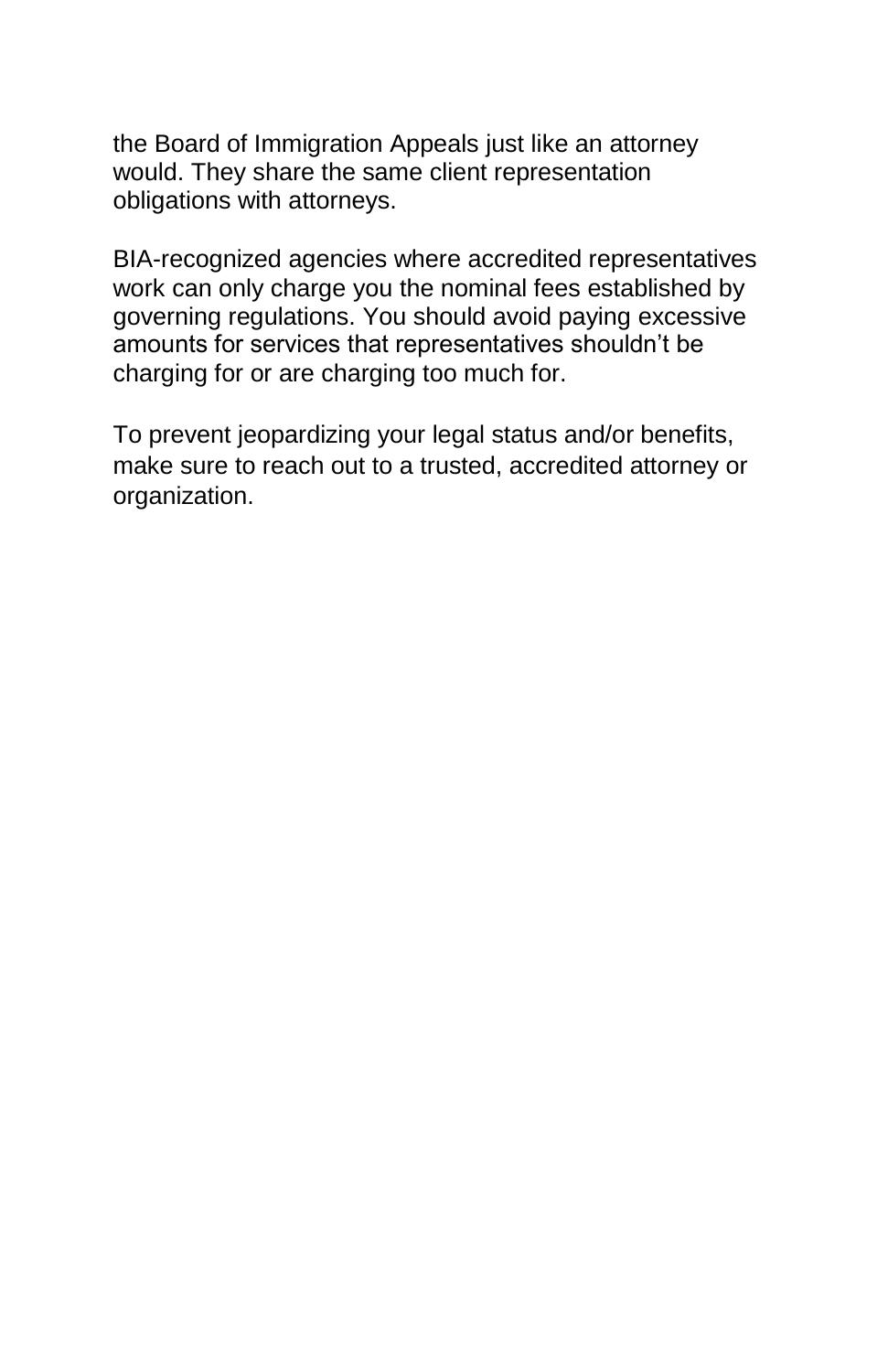the Board of Immigration Appeals just like an attorney would. They share the same client representation obligations with attorneys.

BIA-recognized agencies where accredited representatives work can only charge you the nominal fees established by governing regulations. You should avoid paying excessive amounts for services that representatives shouldn't be charging for or are charging too much for.

To prevent jeopardizing your legal status and/or benefits, make sure to reach out to a trusted, accredited attorney or organization.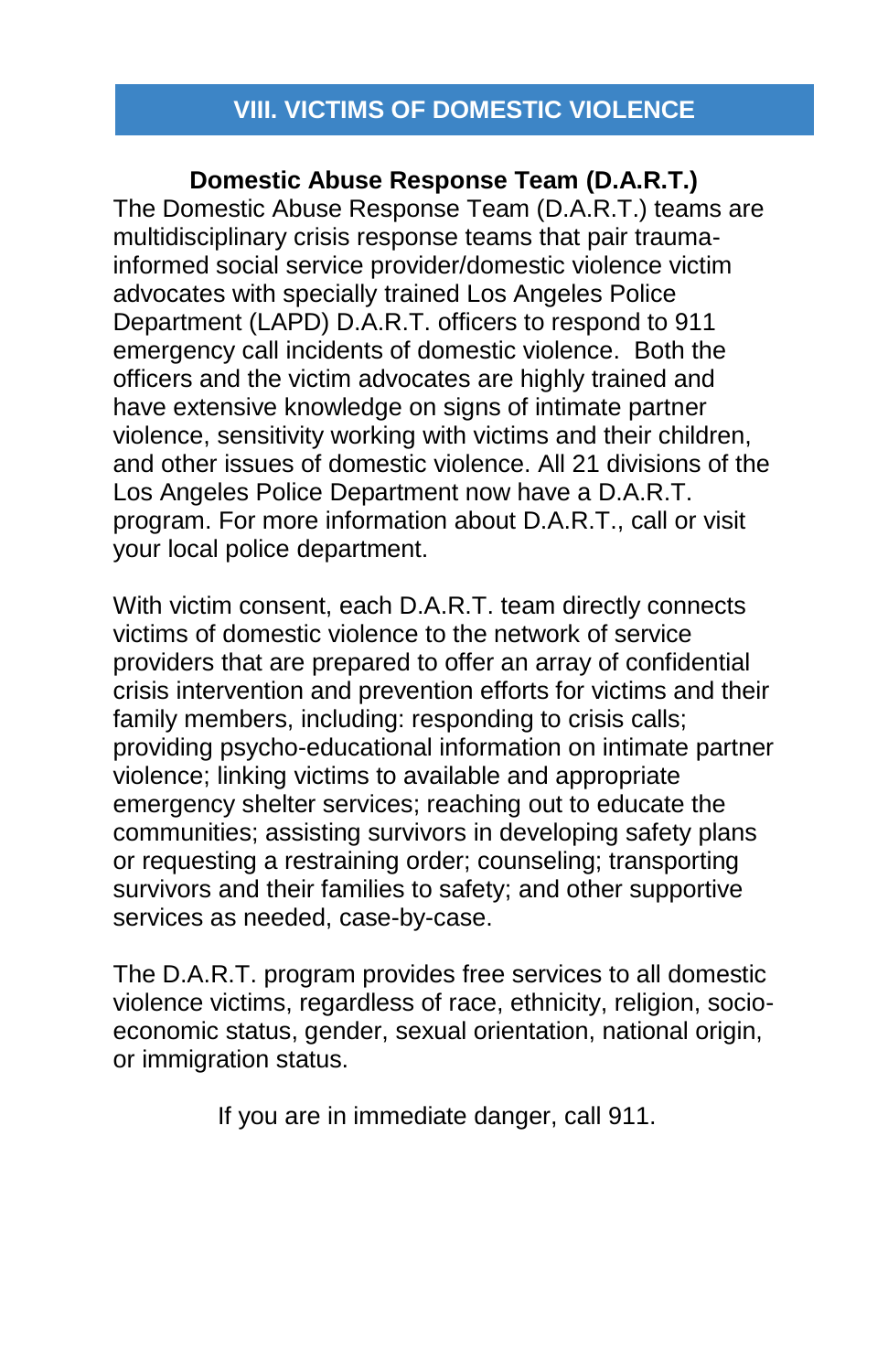## **VIII. VICTIMS OF DOMESTIC VIOLENCE**

## **Domestic Abuse Response Team (D.A.R.T.)**

The Domestic Abuse Response Team (D.A.R.T.) teams are multidisciplinary crisis response teams that pair traumainformed social service provider/domestic violence victim advocates with specially trained Los Angeles Police Department (LAPD) D.A.R.T. officers to respond to 911 emergency call incidents of domestic violence. Both the officers and the victim advocates are highly trained and have extensive knowledge on signs of intimate partner violence, sensitivity working with victims and their children, and other issues of domestic violence. All 21 divisions of the Los Angeles Police Department now have a D.A.R.T. program. For more information about D.A.R.T., call or visit your local police department.

With victim consent, each D.A.R.T. team directly connects victims of domestic violence to the network of service providers that are prepared to offer an array of confidential crisis intervention and prevention efforts for victims and their family members, including: responding to crisis calls; providing psycho-educational information on intimate partner violence; linking victims to available and appropriate emergency shelter services; reaching out to educate the communities; assisting survivors in developing safety plans or requesting a restraining order; counseling; transporting survivors and their families to safety; and other supportive services as needed, case-by-case.

The D.A.R.T. program provides free services to all domestic violence victims, regardless of race, ethnicity, religion, socioeconomic status, gender, sexual orientation, national origin, or immigration status.

If you are in immediate danger, call 911.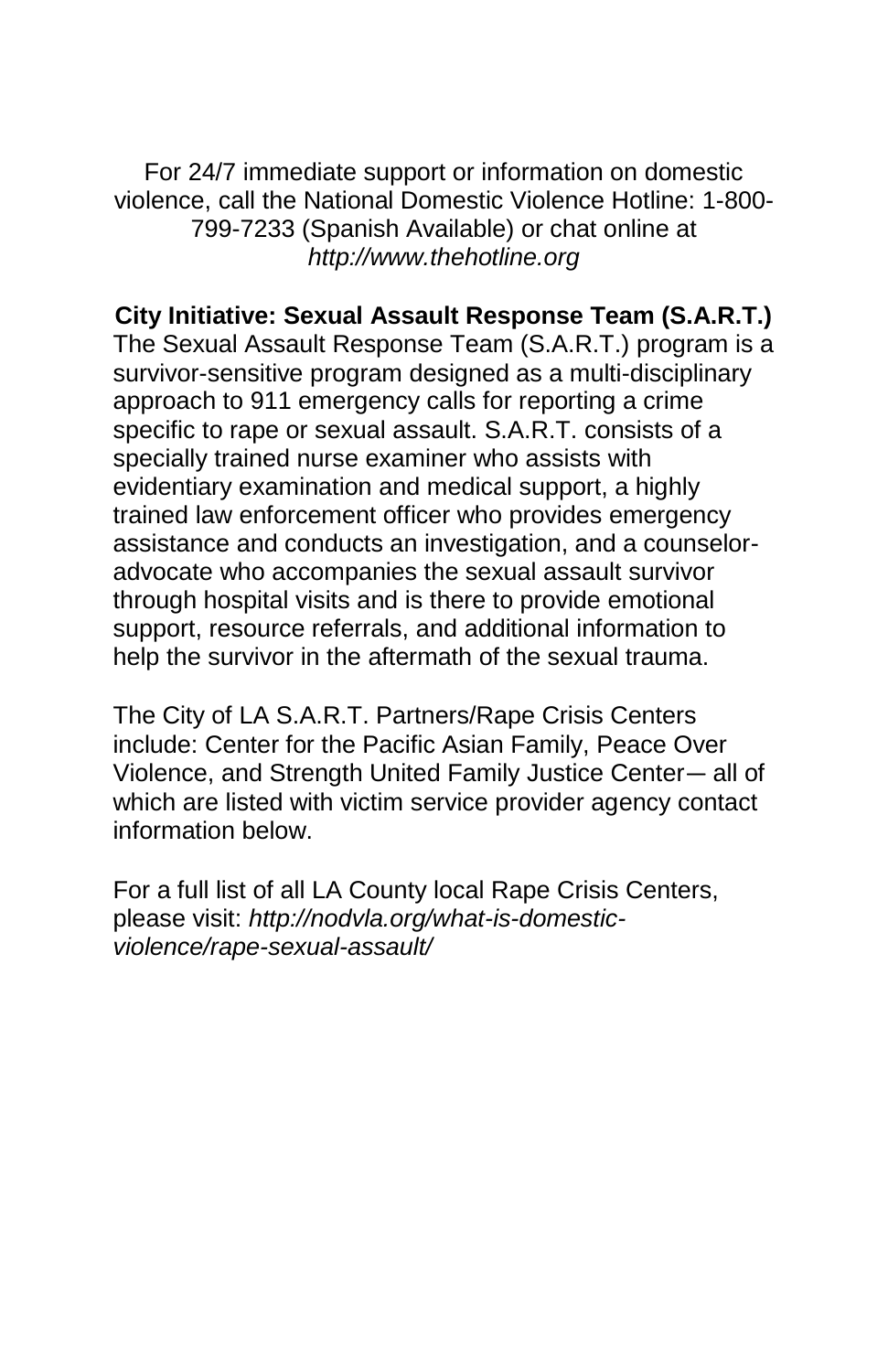For 24/7 immediate support or information on domestic violence, call the National Domestic Violence Hotline: 1-800- 799-7233 (Spanish Available) or chat online at *http://www.thehotline.org*

## **City Initiative: Sexual Assault Response Team (S.A.R.T.)**

The Sexual Assault Response Team (S.A.R.T.) program is a survivor-sensitive program designed as a multi-disciplinary approach to 911 emergency calls for reporting a crime specific to rape or sexual assault. S.A.R.T. consists of a specially trained nurse examiner who assists with evidentiary examination and medical support, a highly trained law enforcement officer who provides emergency assistance and conducts an investigation, and a counseloradvocate who accompanies the sexual assault survivor through hospital visits and is there to provide emotional support, resource referrals, and additional information to help the survivor in the aftermath of the sexual trauma.

The City of LA S.A.R.T. Partners/Rape Crisis Centers include: Center for the Pacific Asian Family, Peace Over Violence, and Strength United Family Justice Center— all of which are listed with victim service provider agency contact information below.

For a full list of all LA County local Rape Crisis Centers, please visit: *http://nodvla.org/what-is-domesticviolence/rape-sexual-assault/*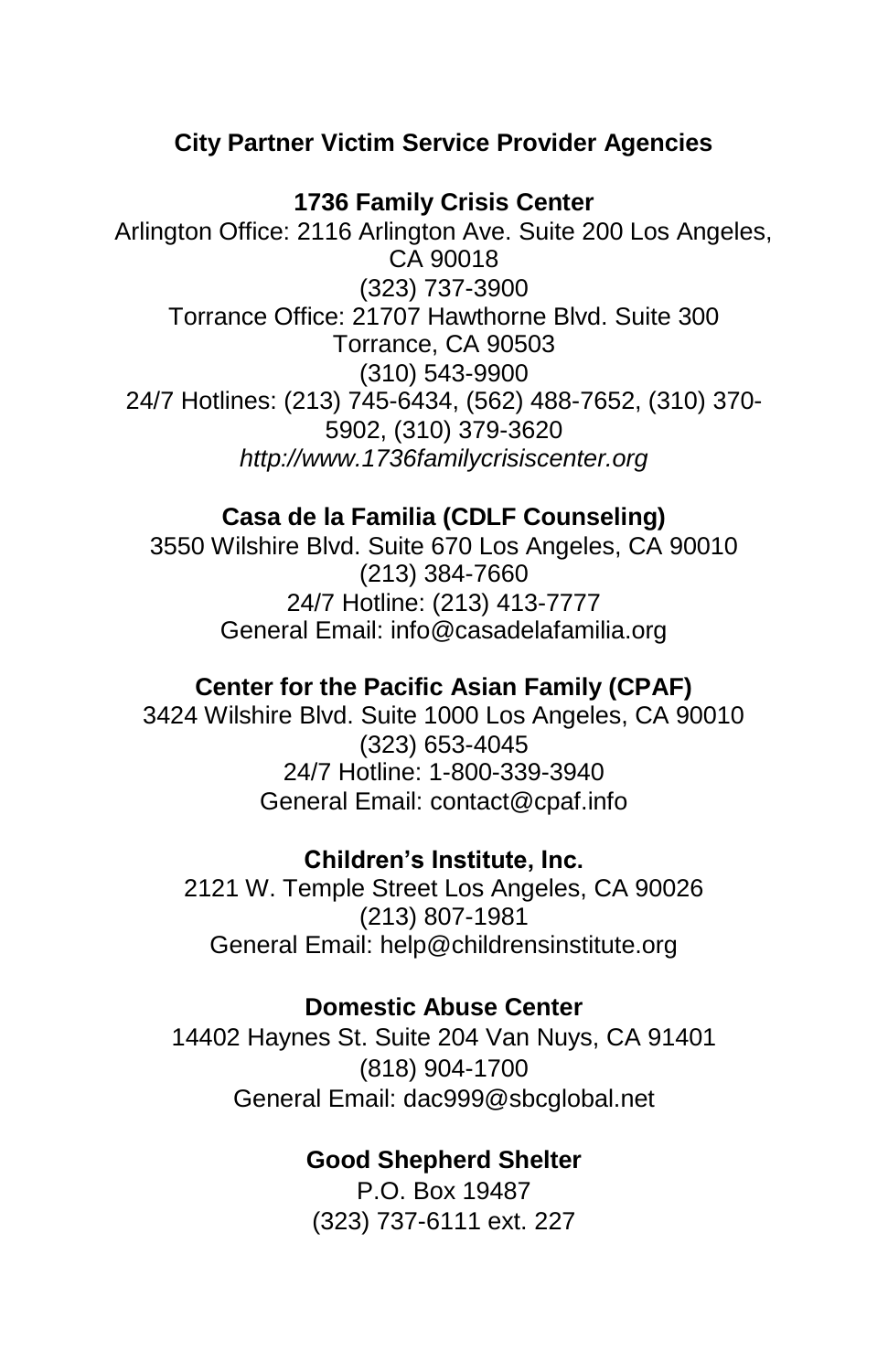## **City Partner Victim Service Provider Agencies**

#### **1736 Family Crisis Center**

Arlington Office: 2116 Arlington Ave. Suite 200 Los Angeles, CA 90018 (323) 737-3900 Torrance Office: 21707 Hawthorne Blvd. Suite 300 Torrance, CA 90503 (310) 543-9900 24/7 Hotlines: (213) 745-6434, (562) 488-7652, (310) 370- 5902, (310) 379-3620 *http://www.1736familycrisiscenter.org*

#### **Casa de la Familia (CDLF Counseling)**

3550 Wilshire Blvd. Suite 670 Los Angeles, CA 90010 (213) 384-7660 24/7 Hotline: (213) 413-7777 General Email: info@casadelafamilia.org

#### **Center for the Pacific Asian Family (CPAF)**

3424 Wilshire Blvd. Suite 1000 Los Angeles, CA 90010 (323) 653-4045 24/7 Hotline: 1-800-339-3940 General Email: contact@cpaf.info

#### **Children's Institute, Inc.**

2121 W. Temple Street Los Angeles, CA 90026 (213) 807-1981 General Email: help@childrensinstitute.org

#### **Domestic Abuse Center**

14402 Haynes St. Suite 204 Van Nuys, CA 91401 (818) 904-1700 General Email: dac999@sbcglobal.net

#### **Good Shepherd Shelter**

P.O. Box 19487 (323) 737-6111 ext. 227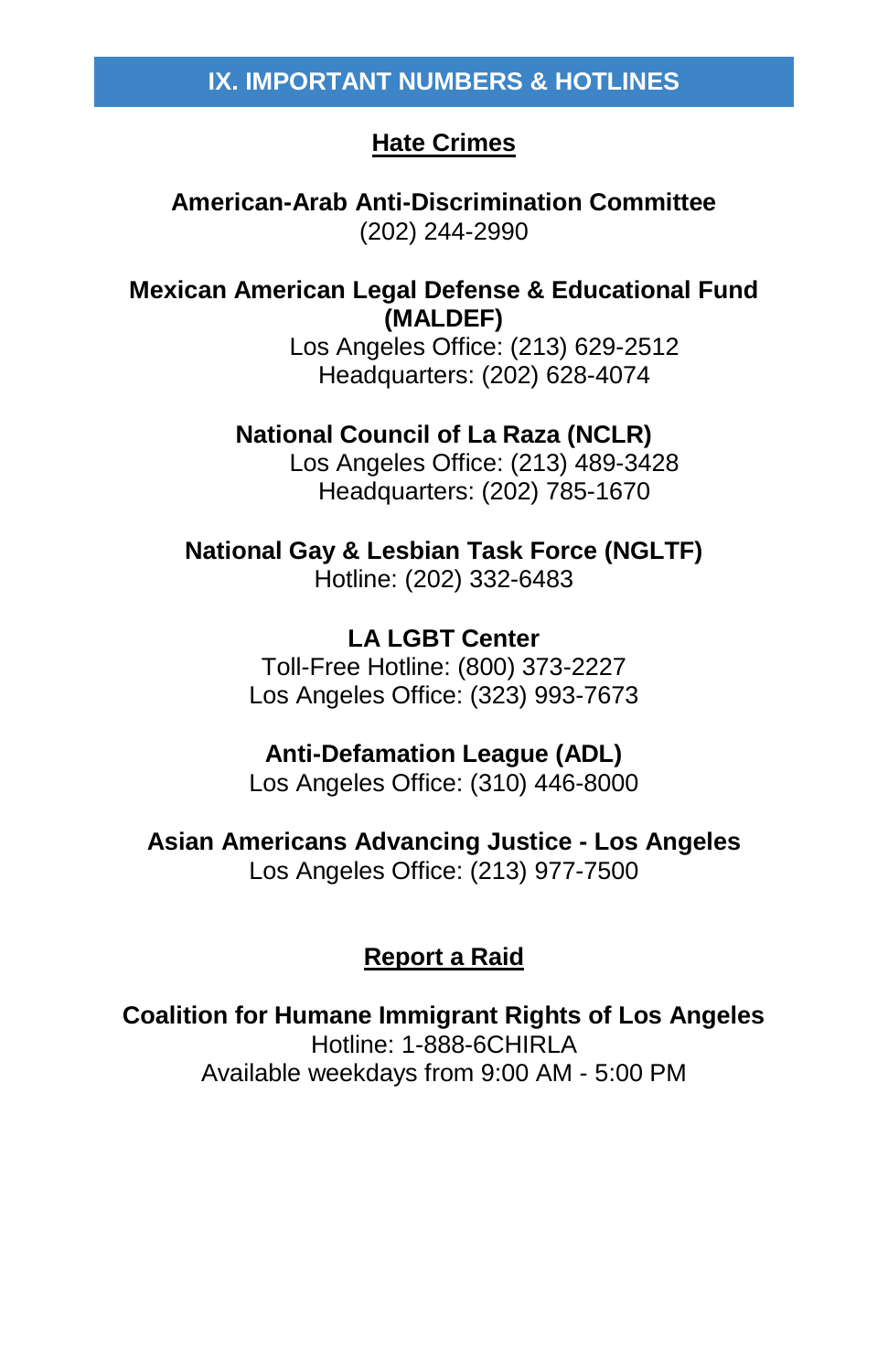## **Hate Crimes**

**American-Arab Anti-Discrimination Committee** (202) 244-2990

**Mexican American Legal Defense & Educational Fund (MALDEF)**

Los Angeles Office: (213) 629-2512 Headquarters: (202) 628-4074

#### **National Council of La Raza (NCLR)**

Los Angeles Office: (213) 489-3428 Headquarters: (202) 785-1670

**National Gay & Lesbian Task Force (NGLTF)** Hotline: (202) 332-6483

> **LA LGBT Center** Toll-Free Hotline: (800) 373-2227 Los Angeles Office: (323) 993-7673

#### **Anti-Defamation League (ADL)**

Los Angeles Office: (310) 446-8000

**Asian Americans Advancing Justice - Los Angeles** Los Angeles Office: (213) 977-7500

#### **Report a Raid**

**Coalition for Humane Immigrant Rights of Los Angeles** Hotline: 1-888-6CHIRLA Available weekdays from 9:00 AM - 5:00 PM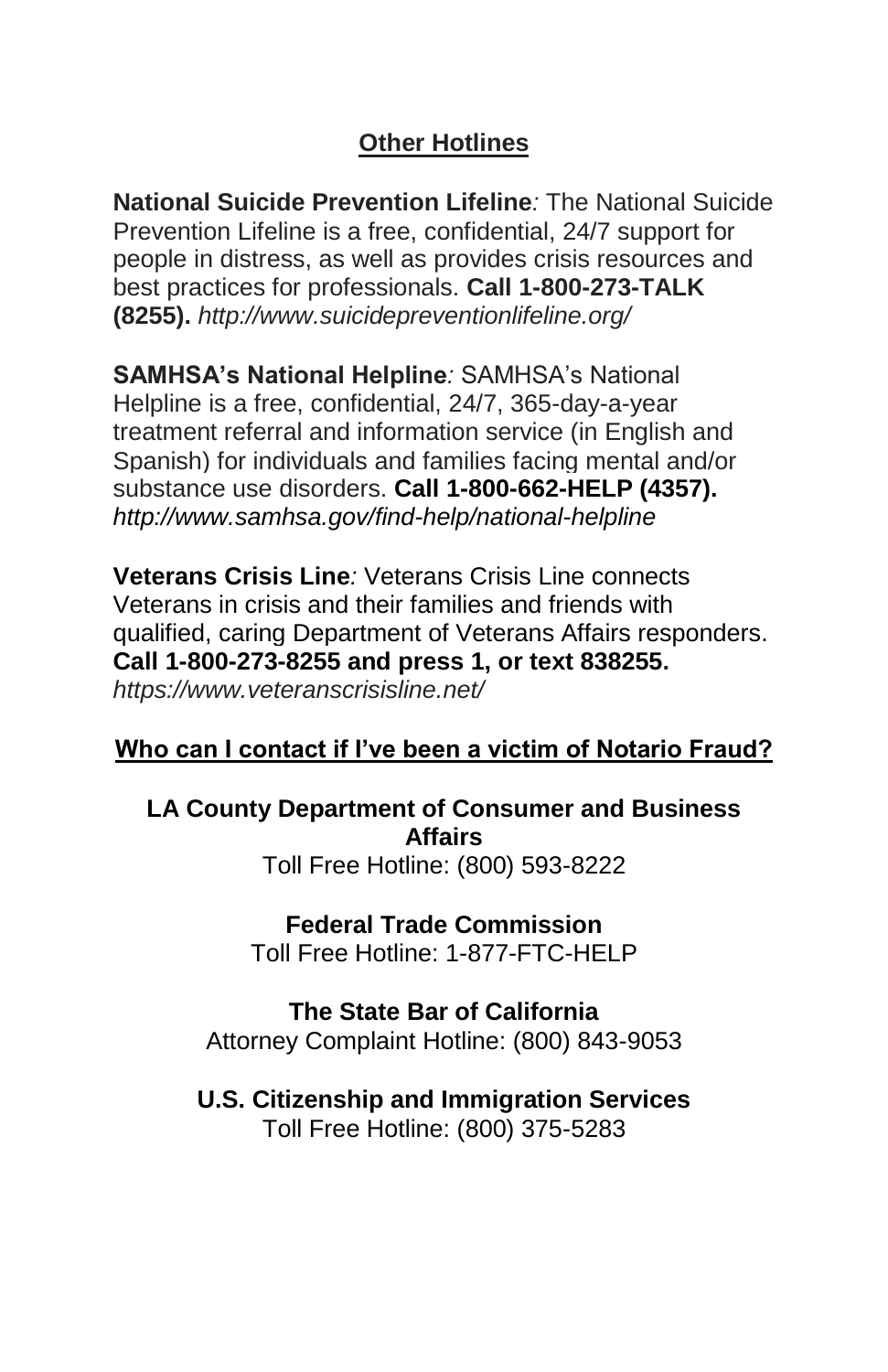## **Other Hotlines**

**National Suicide Prevention Lifeline***:* The National Suicide Prevention Lifeline is a free, confidential, 24/7 support for people in distress, as well as provides crisis resources and best practices for professionals. **Call 1-800-273-TALK (8255).** *http://www.suicidepreventionlifeline.org/*

**SAMHSA's National Helpline***:* SAMHSA's National Helpline is a free, confidential, 24/7, 365-day-a-year treatment referral and information service (in English and Spanish) for individuals and families facing mental and/or substance use disorders. **Call 1-800-662-HELP (4357).** *http://www.samhsa.gov/find-help/national-helpline*

**Veterans Crisis Line***:* Veterans Crisis Line connects Veterans in crisis and their families and friends with qualified, caring Department of Veterans Affairs responders. **Call 1-800-273-8255 and press 1, or text 838255.** *https://www.veteranscrisisline.net/*

## **Who can I contact if I've been a victim of Notario Fraud?**

## **LA County Department of Consumer and Business Affairs**

Toll Free Hotline: (800) 593-8222

#### **Federal Trade Commission**

Toll Free Hotline: 1-877-FTC-HELP

## **The State Bar of California**

Attorney Complaint Hotline: (800) 843-9053

## **U.S. Citizenship and Immigration Services**

Toll Free Hotline: (800) 375-5283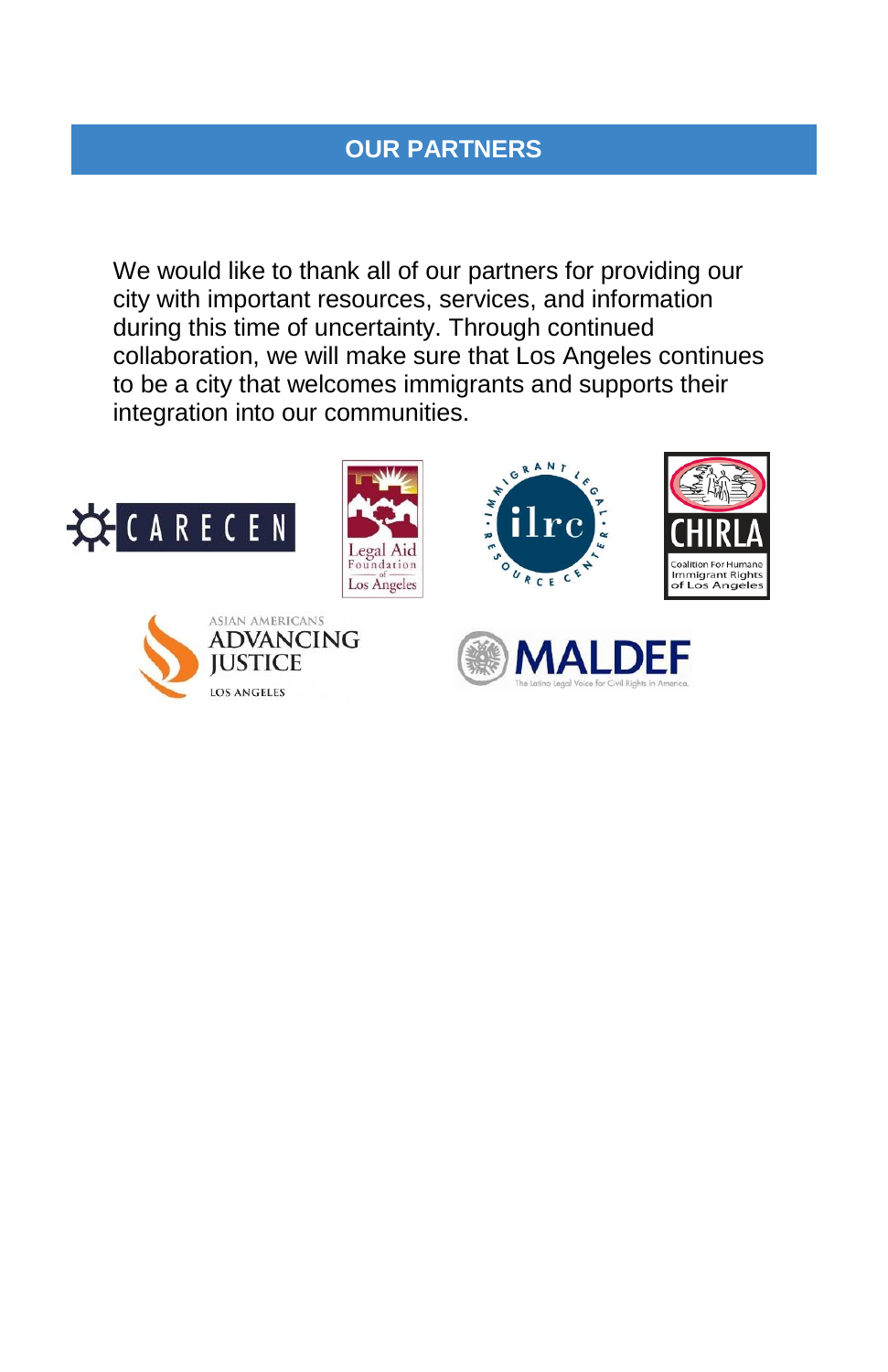## **OUR PARTNERS**

We would like to thank all of our partners for providing our city with important resources, services, and information during this time of uncertainty. Through continued collaboration, we will make sure that Los Angeles continues to be a city that welcomes immigrants and supports their integration into our communities.